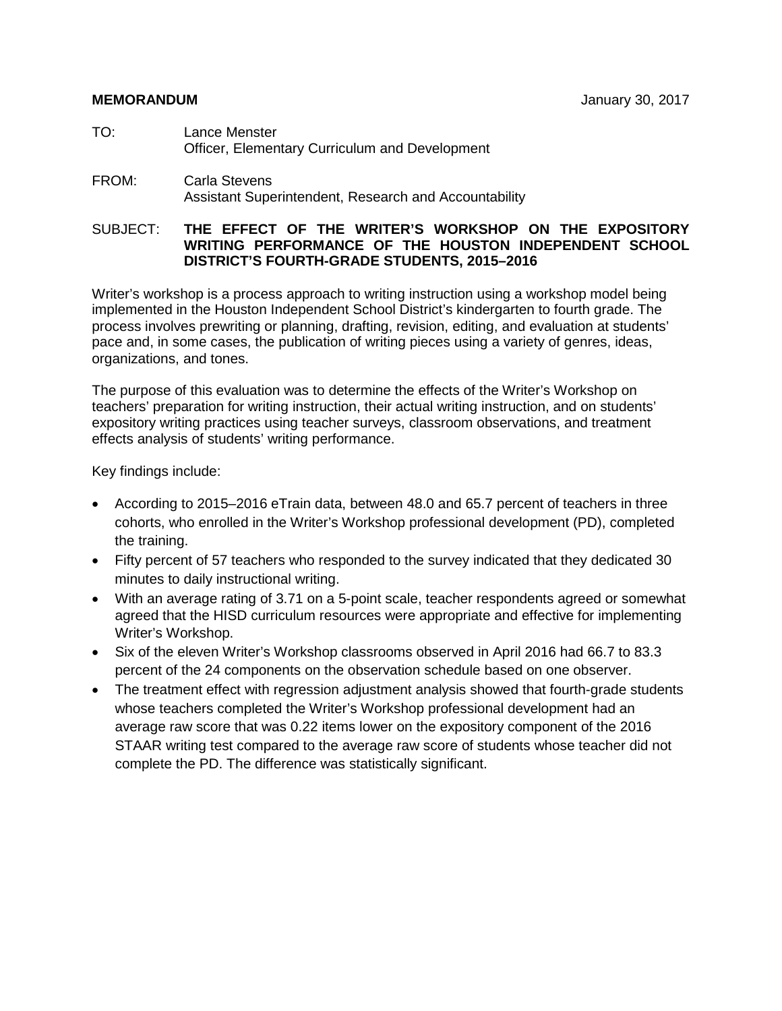- TO: Lance Menster Officer, Elementary Curriculum and Development
- FROM: Carla Stevens Assistant Superintendent, Research and Accountability

#### SUBJECT: **THE EFFECT OF THE WRITER'S WORKSHOP ON THE EXPOSITORY WRITING PERFORMANCE OF THE HOUSTON INDEPENDENT SCHOOL DISTRICT'S FOURTH-GRADE STUDENTS, 2015–2016**

Writer's workshop is a process approach to writing instruction using a workshop model being implemented in the Houston Independent School District's kindergarten to fourth grade. The process involves prewriting or planning, drafting, revision, editing, and evaluation at students' pace and, in some cases, the publication of writing pieces using a variety of genres, ideas, organizations, and tones.

The purpose of this evaluation was to determine the effects of the Writer's Workshop on teachers' preparation for writing instruction, their actual writing instruction, and on students' expository writing practices using teacher surveys, classroom observations, and treatment effects analysis of students' writing performance.

Key findings include:

- According to 2015–2016 eTrain data, between 48.0 and 65.7 percent of teachers in three cohorts, who enrolled in the Writer's Workshop professional development (PD), completed the training.
- Fifty percent of 57 teachers who responded to the survey indicated that they dedicated 30 minutes to daily instructional writing.
- With an average rating of 3.71 on a 5-point scale, teacher respondents agreed or somewhat agreed that the HISD curriculum resources were appropriate and effective for implementing Writer's Workshop.
- Six of the eleven Writer's Workshop classrooms observed in April 2016 had 66.7 to 83.3 percent of the 24 components on the observation schedule based on one observer.
- The treatment effect with regression adjustment analysis showed that fourth-grade students whose teachers completed the Writer's Workshop professional development had an average raw score that was 0.22 items lower on the expository component of the 2016 STAAR writing test compared to the average raw score of students whose teacher did not complete the PD. The difference was statistically significant.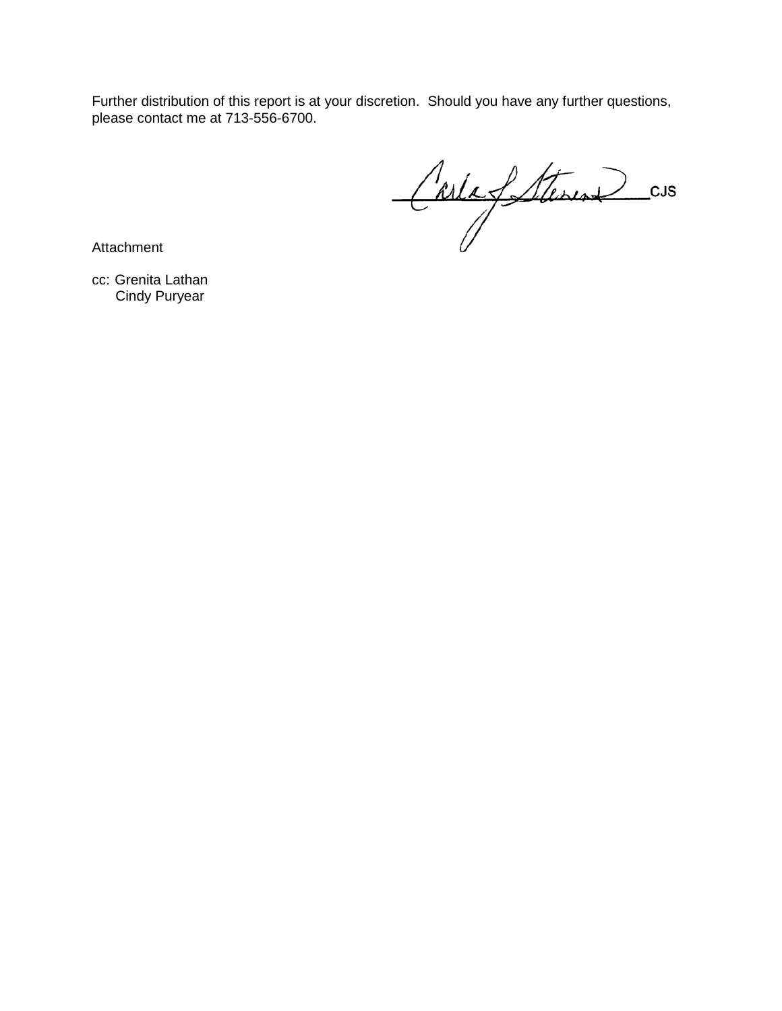Further distribution of this report is at your discretion. Should you have any further questions, please contact me at 713-556-6700.

Carla fattures cus

**Attachment** 

cc: Grenita Lathan Cindy Puryear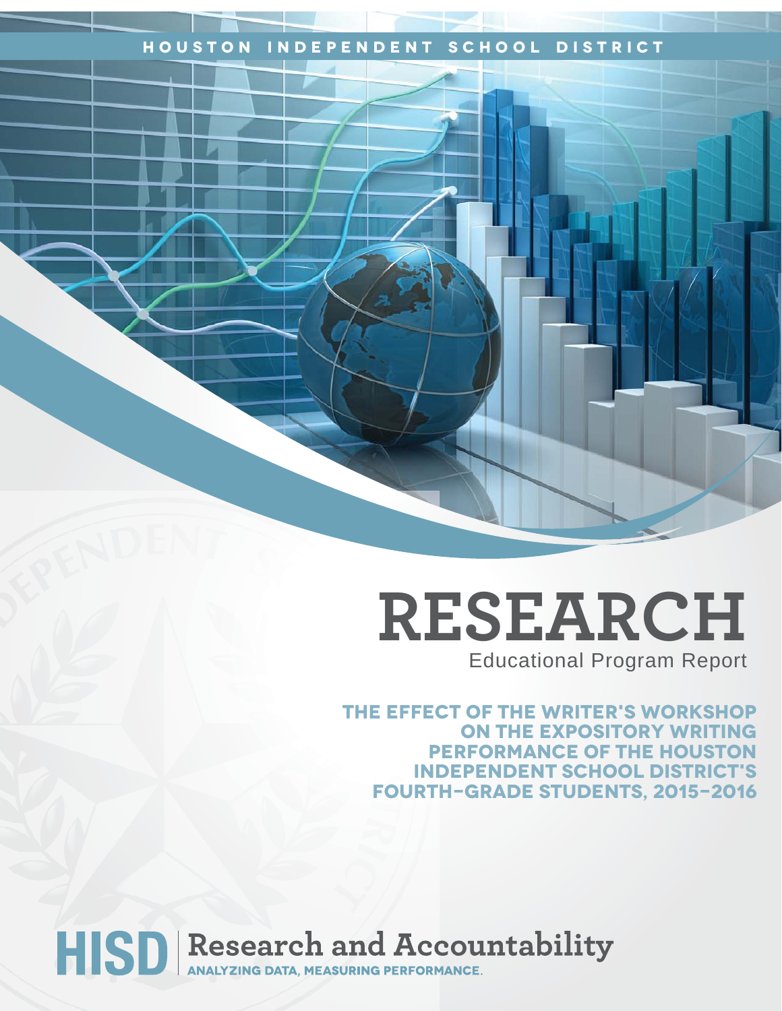## **Houston Independent School District**

## **RESEARCH** Educational Program Report

**The effect of the writer's workshop on the expository writing performance of the Houston IndePendent school district's fourth-Grade students, 2015-2016**

# HISD Research and Accountability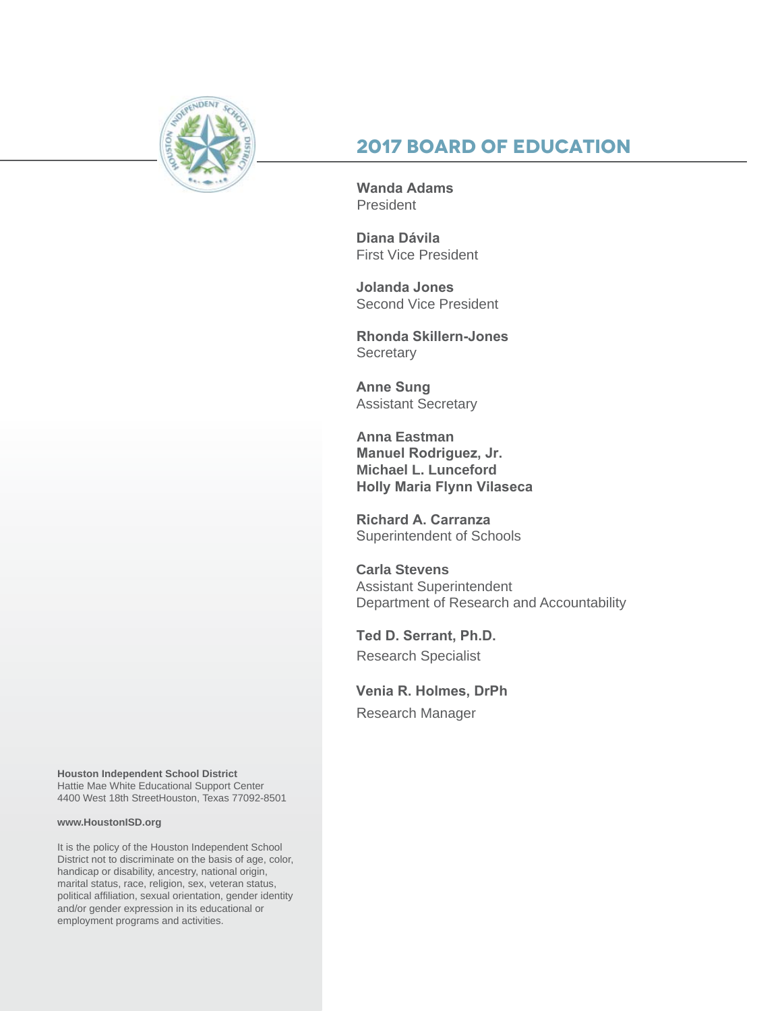

## **2017 Board of Education**

**Wanda Adams** President

**Diana Dávila**  First Vice President

**Jolanda Jones**  Second Vice President

**Rhonda Skillern-Jones Secretary** 

**Anne Sung** Assistant Secretary

**Anna Eastman Manuel Rodriguez, Jr. Michael L. Lunceford Holly Maria Flynn Vilaseca**

**Richard A. Carranza** Superintendent of Schools

**Carla Stevens** Assistant Superintendent Department of Research and Accountability

**Ted D. Serrant, Ph.D.** Research Specialist

**Venia R. Holmes, DrPh**

Research Manager

**Houston Independent School District**

Hattie Mae White Educational Support Center 4400 West 18th StreetHouston, Texas 77092-8501

#### **www.HoustonISD.org**

It is the policy of the Houston Independent School District not to discriminate on the basis of age, color, handicap or disability, ancestry, national origin, marital status, race, religion, sex, veteran status, political affiliation, sexual orientation, gender identity and/or gender expression in its educational or employment programs and activities.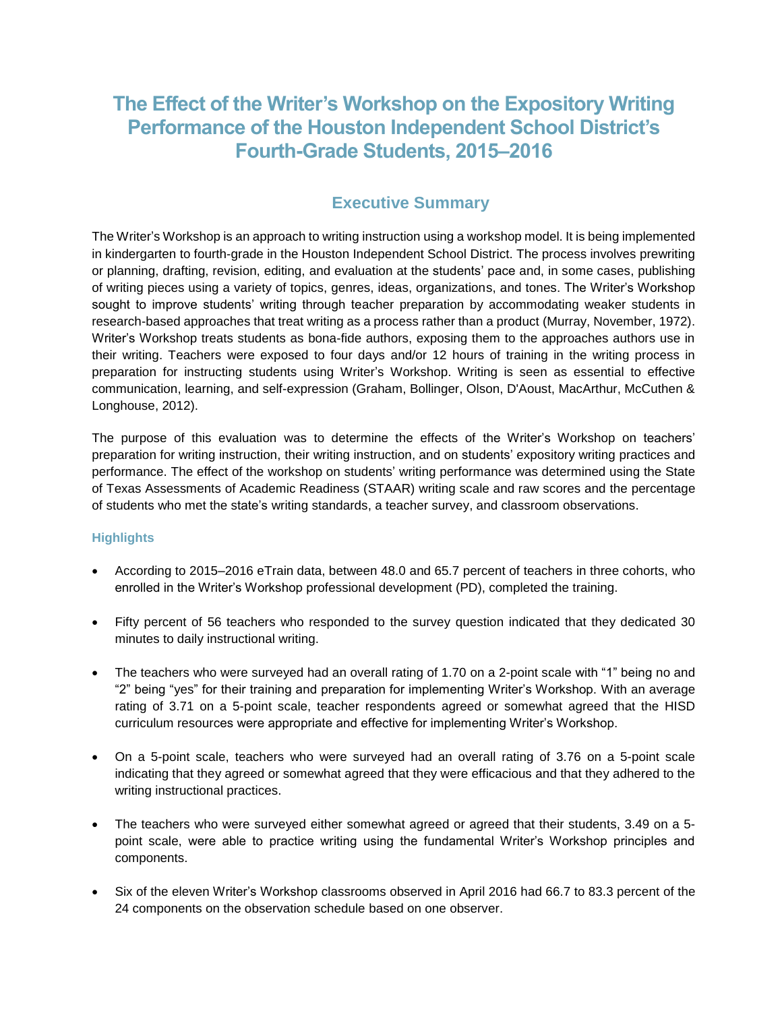## **The Effect of the Writer's Workshop on the Expository Writing Performance of the Houston Independent School District's Fourth-Grade Students, 2015–2016**

## **Executive Summary**

The Writer's Workshop is an approach to writing instruction using a workshop model. It is being implemented in kindergarten to fourth-grade in the Houston Independent School District. The process involves prewriting or planning, drafting, revision, editing, and evaluation at the students' pace and, in some cases, publishing of writing pieces using a variety of topics, genres, ideas, organizations, and tones. The Writer's Workshop sought to improve students' writing through teacher preparation by accommodating weaker students in research-based approaches that treat writing as a process rather than a product (Murray, November, 1972). Writer's Workshop treats students as bona-fide authors, exposing them to the approaches authors use in their writing. Teachers were exposed to four days and/or 12 hours of training in the writing process in preparation for instructing students using Writer's Workshop. Writing is seen as essential to effective communication, learning, and self-expression (Graham, Bollinger, Olson, D'Aoust, MacArthur, McCuthen & Longhouse, 2012).

The purpose of this evaluation was to determine the effects of the Writer's Workshop on teachers' preparation for writing instruction, their writing instruction, and on students' expository writing practices and performance. The effect of the workshop on students' writing performance was determined using the State of Texas Assessments of Academic Readiness (STAAR) writing scale and raw scores and the percentage of students who met the state's writing standards, a teacher survey, and classroom observations.

#### **Highlights**

- According to 2015–2016 eTrain data, between 48.0 and 65.7 percent of teachers in three cohorts, who enrolled in the Writer's Workshop professional development (PD), completed the training.
- Fifty percent of 56 teachers who responded to the survey question indicated that they dedicated 30 minutes to daily instructional writing.
- The teachers who were surveyed had an overall rating of 1.70 on a 2-point scale with "1" being no and "2" being "yes" for their training and preparation for implementing Writer's Workshop. With an average rating of 3.71 on a 5-point scale, teacher respondents agreed or somewhat agreed that the HISD curriculum resources were appropriate and effective for implementing Writer's Workshop.
- On a 5-point scale, teachers who were surveyed had an overall rating of 3.76 on a 5-point scale indicating that they agreed or somewhat agreed that they were efficacious and that they adhered to the writing instructional practices.
- The teachers who were surveyed either somewhat agreed or agreed that their students, 3.49 on a 5 point scale, were able to practice writing using the fundamental Writer's Workshop principles and components.
- Six of the eleven Writer's Workshop classrooms observed in April 2016 had 66.7 to 83.3 percent of the 24 components on the observation schedule based on one observer.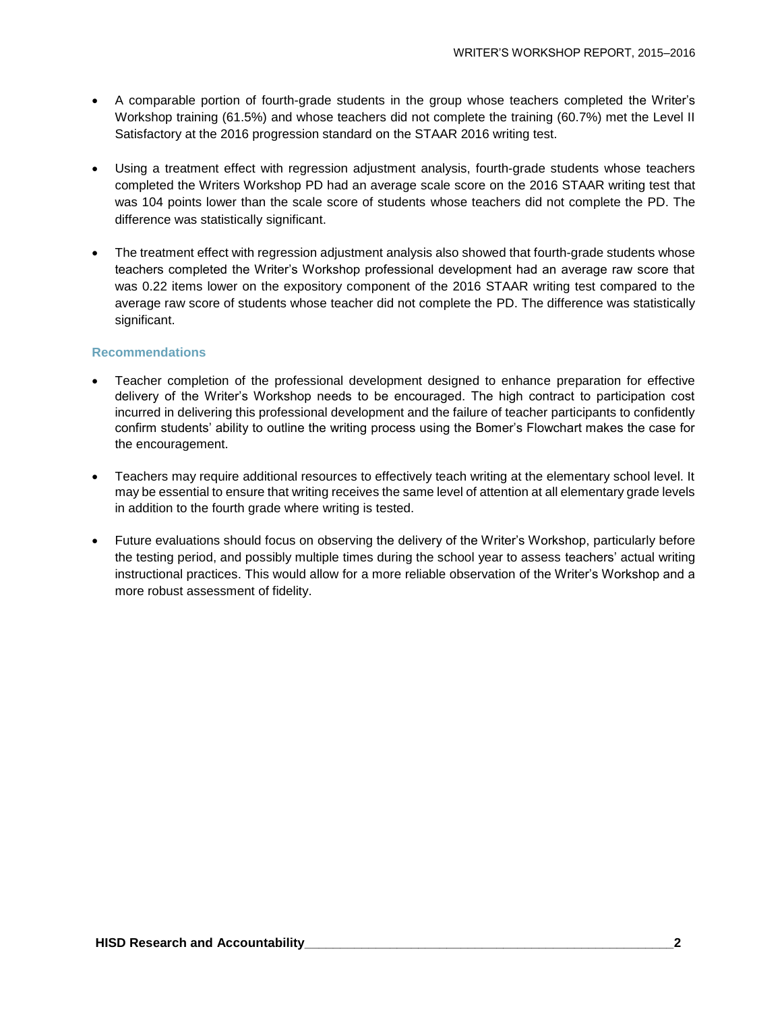- A comparable portion of fourth-grade students in the group whose teachers completed the Writer's Workshop training (61.5%) and whose teachers did not complete the training (60.7%) met the Level II Satisfactory at the 2016 progression standard on the STAAR 2016 writing test.
- Using a treatment effect with regression adjustment analysis, fourth-grade students whose teachers completed the Writers Workshop PD had an average scale score on the 2016 STAAR writing test that was 104 points lower than the scale score of students whose teachers did not complete the PD. The difference was statistically significant.
- The treatment effect with regression adjustment analysis also showed that fourth-grade students whose teachers completed the Writer's Workshop professional development had an average raw score that was 0.22 items lower on the expository component of the 2016 STAAR writing test compared to the average raw score of students whose teacher did not complete the PD. The difference was statistically significant.

#### **Recommendations**

- Teacher completion of the professional development designed to enhance preparation for effective delivery of the Writer's Workshop needs to be encouraged. The high contract to participation cost incurred in delivering this professional development and the failure of teacher participants to confidently confirm students' ability to outline the writing process using the Bomer's Flowchart makes the case for the encouragement.
- Teachers may require additional resources to effectively teach writing at the elementary school level. It may be essential to ensure that writing receives the same level of attention at all elementary grade levels in addition to the fourth grade where writing is tested.
- Future evaluations should focus on observing the delivery of the Writer's Workshop, particularly before the testing period, and possibly multiple times during the school year to assess teachers' actual writing instructional practices. This would allow for a more reliable observation of the Writer's Workshop and a more robust assessment of fidelity.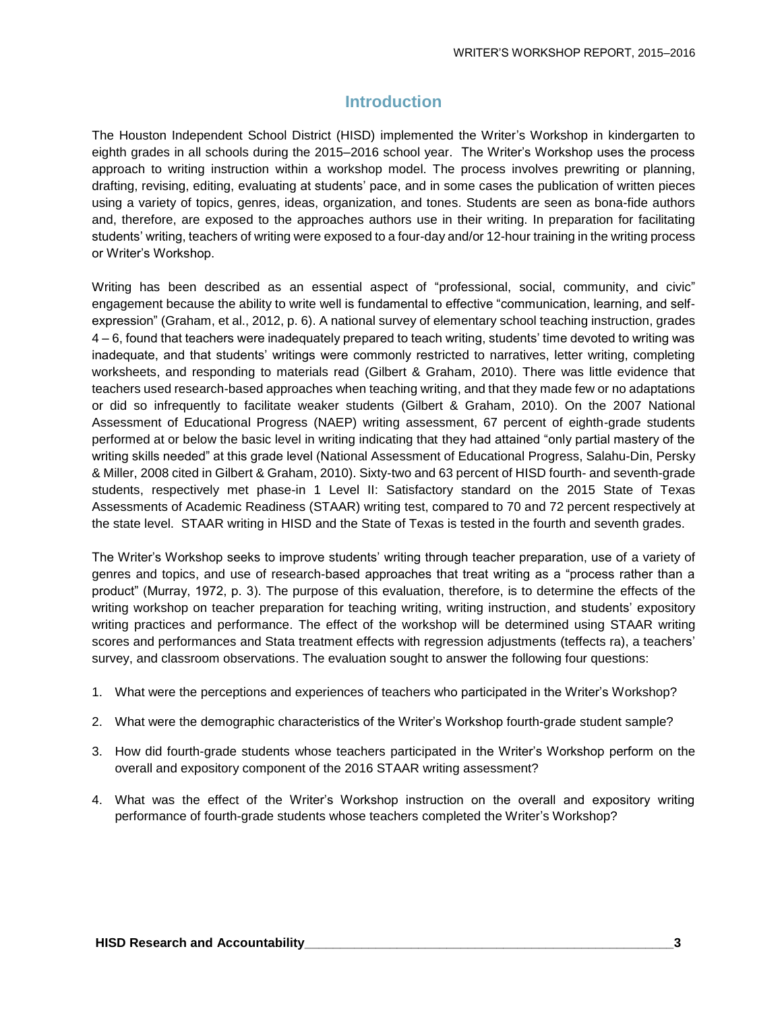## **Introduction**

The Houston Independent School District (HISD) implemented the Writer's Workshop in kindergarten to eighth grades in all schools during the 2015–2016 school year. The Writer's Workshop uses the process approach to writing instruction within a workshop model. The process involves prewriting or planning, drafting, revising, editing, evaluating at students' pace, and in some cases the publication of written pieces using a variety of topics, genres, ideas, organization, and tones. Students are seen as bona-fide authors and, therefore, are exposed to the approaches authors use in their writing. In preparation for facilitating students' writing, teachers of writing were exposed to a four-day and/or 12-hour training in the writing process or Writer's Workshop.

Writing has been described as an essential aspect of "professional, social, community, and civic" engagement because the ability to write well is fundamental to effective "communication, learning, and selfexpression" (Graham, et al., 2012, p. 6). A national survey of elementary school teaching instruction, grades 4 – 6, found that teachers were inadequately prepared to teach writing, students' time devoted to writing was inadequate, and that students' writings were commonly restricted to narratives, letter writing, completing worksheets, and responding to materials read (Gilbert & Graham, 2010). There was little evidence that teachers used research-based approaches when teaching writing, and that they made few or no adaptations or did so infrequently to facilitate weaker students (Gilbert & Graham, 2010). On the 2007 National Assessment of Educational Progress (NAEP) writing assessment, 67 percent of eighth-grade students performed at or below the basic level in writing indicating that they had attained "only partial mastery of the writing skills needed" at this grade level (National Assessment of Educational Progress, Salahu-Din, Persky & Miller, 2008 cited in Gilbert & Graham, 2010). Sixty-two and 63 percent of HISD fourth- and seventh-grade students, respectively met phase-in 1 Level II: Satisfactory standard on the 2015 State of Texas Assessments of Academic Readiness (STAAR) writing test, compared to 70 and 72 percent respectively at the state level. STAAR writing in HISD and the State of Texas is tested in the fourth and seventh grades.

The Writer's Workshop seeks to improve students' writing through teacher preparation, use of a variety of genres and topics, and use of research-based approaches that treat writing as a "process rather than a product" (Murray, 1972, p. 3). The purpose of this evaluation, therefore, is to determine the effects of the writing workshop on teacher preparation for teaching writing, writing instruction, and students' expository writing practices and performance. The effect of the workshop will be determined using STAAR writing scores and performances and Stata treatment effects with regression adjustments (teffects ra), a teachers' survey, and classroom observations. The evaluation sought to answer the following four questions:

- 1. What were the perceptions and experiences of teachers who participated in the Writer's Workshop?
- 2. What were the demographic characteristics of the Writer's Workshop fourth-grade student sample?
- 3. How did fourth-grade students whose teachers participated in the Writer's Workshop perform on the overall and expository component of the 2016 STAAR writing assessment?
- 4. What was the effect of the Writer's Workshop instruction on the overall and expository writing performance of fourth-grade students whose teachers completed the Writer's Workshop?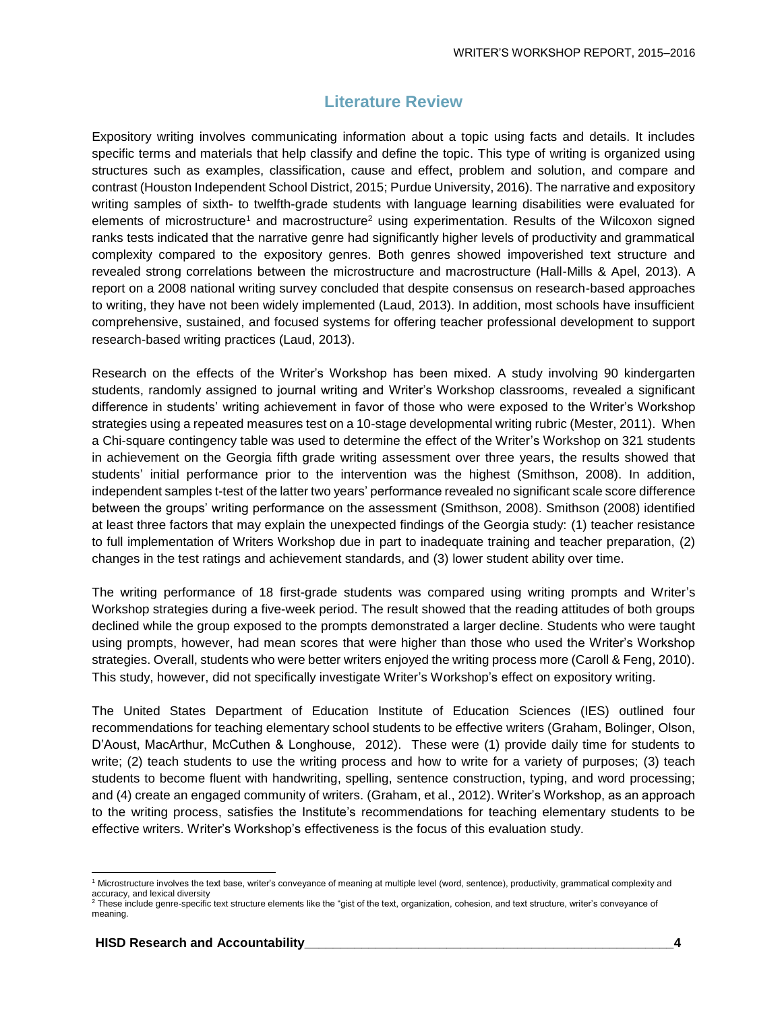### **Literature Review**

Expository writing involves communicating information about a topic using facts and details. It includes specific terms and materials that help classify and define the topic. This type of writing is organized using structures such as examples, classification, cause and effect, problem and solution, and compare and contrast (Houston Independent School District, 2015; Purdue University, 2016). The narrative and expository writing samples of sixth- to twelfth-grade students with language learning disabilities were evaluated for elements of microstructure<sup>1</sup> and macrostructure<sup>2</sup> using experimentation. Results of the Wilcoxon signed ranks tests indicated that the narrative genre had significantly higher levels of productivity and grammatical complexity compared to the expository genres. Both genres showed impoverished text structure and revealed strong correlations between the microstructure and macrostructure (Hall-Mills & Apel, 2013). A report on a 2008 national writing survey concluded that despite consensus on research-based approaches to writing, they have not been widely implemented (Laud, 2013). In addition, most schools have insufficient comprehensive, sustained, and focused systems for offering teacher professional development to support research-based writing practices (Laud, 2013).

Research on the effects of the Writer's Workshop has been mixed. A study involving 90 kindergarten students, randomly assigned to journal writing and Writer's Workshop classrooms, revealed a significant difference in students' writing achievement in favor of those who were exposed to the Writer's Workshop strategies using a repeated measures test on a 10-stage developmental writing rubric (Mester, 2011). When a Chi-square contingency table was used to determine the effect of the Writer's Workshop on 321 students in achievement on the Georgia fifth grade writing assessment over three years, the results showed that students' initial performance prior to the intervention was the highest (Smithson, 2008). In addition, independent samples t-test of the latter two years' performance revealed no significant scale score difference between the groups' writing performance on the assessment (Smithson, 2008). Smithson (2008) identified at least three factors that may explain the unexpected findings of the Georgia study: (1) teacher resistance to full implementation of Writers Workshop due in part to inadequate training and teacher preparation, (2) changes in the test ratings and achievement standards, and (3) lower student ability over time.

The writing performance of 18 first-grade students was compared using writing prompts and Writer's Workshop strategies during a five-week period. The result showed that the reading attitudes of both groups declined while the group exposed to the prompts demonstrated a larger decline. Students who were taught using prompts, however, had mean scores that were higher than those who used the Writer's Workshop strategies. Overall, students who were better writers enjoyed the writing process more (Caroll & Feng, 2010). This study, however, did not specifically investigate Writer's Workshop's effect on expository writing.

The United States Department of Education Institute of Education Sciences (IES) outlined four recommendations for teaching elementary school students to be effective writers (Graham, Bolinger, Olson, D'Aoust, MacArthur, McCuthen & Longhouse, 2012). These were (1) provide daily time for students to write; (2) teach students to use the writing process and how to write for a variety of purposes; (3) teach students to become fluent with handwriting, spelling, sentence construction, typing, and word processing; and (4) create an engaged community of writers. (Graham, et al., 2012). Writer's Workshop, as an approach to the writing process, satisfies the Institute's recommendations for teaching elementary students to be effective writers. Writer's Workshop's effectiveness is the focus of this evaluation study.

l

<sup>1</sup> Microstructure involves the text base, writer's conveyance of meaning at multiple level (word, sentence), productivity, grammatical complexity and accuracy, and lexical diversity

<sup>&</sup>lt;sup>2</sup> These include genre-specific text structure elements like the "gist of the text, organization, cohesion, and text structure, writer's conveyance of meaning.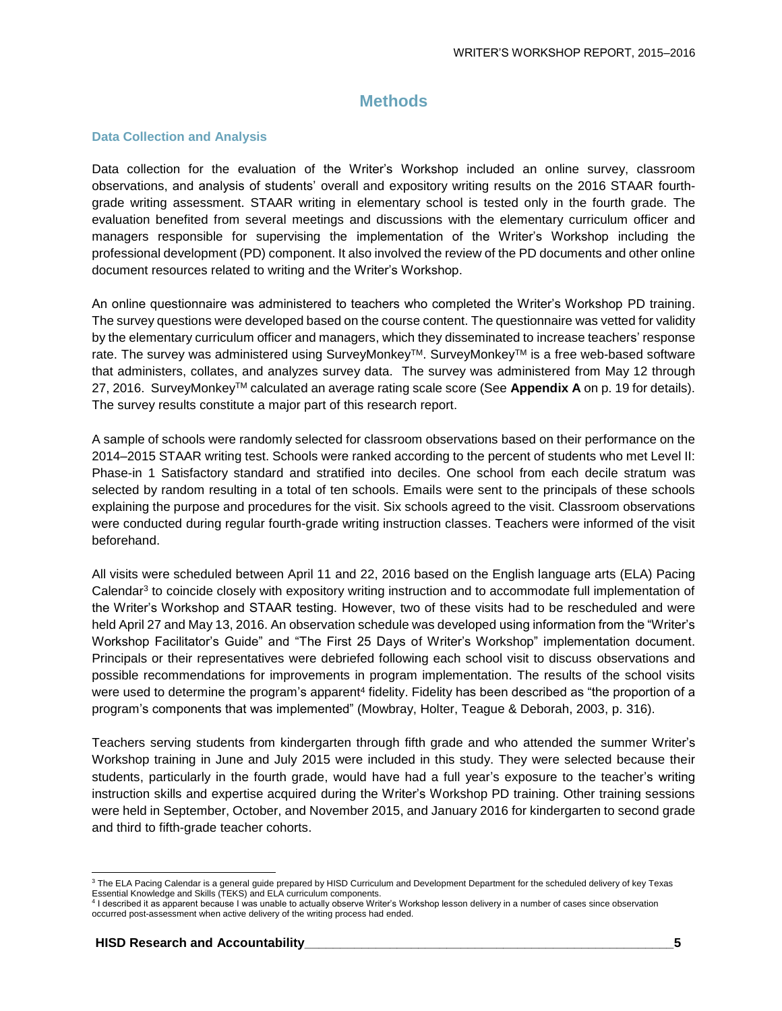#### **Methods**

#### **Data Collection and Analysis**

Data collection for the evaluation of the Writer's Workshop included an online survey, classroom observations, and analysis of students' overall and expository writing results on the 2016 STAAR fourthgrade writing assessment. STAAR writing in elementary school is tested only in the fourth grade. The evaluation benefited from several meetings and discussions with the elementary curriculum officer and managers responsible for supervising the implementation of the Writer's Workshop including the professional development (PD) component. It also involved the review of the PD documents and other online document resources related to writing and the Writer's Workshop.

An online questionnaire was administered to teachers who completed the Writer's Workshop PD training. The survey questions were developed based on the course content. The questionnaire was vetted for validity by the elementary curriculum officer and managers, which they disseminated to increase teachers' response rate. The survey was administered using SurveyMonkey™. SurveyMonkey™ is a free web-based software that administers, collates, and analyzes survey data. The survey was administered from May 12 through 27, 2016. SurveyMonkeyTM calculated an average rating scale score (See **Appendix A** on p. 19 for details). The survey results constitute a major part of this research report.

A sample of schools were randomly selected for classroom observations based on their performance on the 2014–2015 STAAR writing test. Schools were ranked according to the percent of students who met Level II: Phase-in 1 Satisfactory standard and stratified into deciles. One school from each decile stratum was selected by random resulting in a total of ten schools. Emails were sent to the principals of these schools explaining the purpose and procedures for the visit. Six schools agreed to the visit. Classroom observations were conducted during regular fourth-grade writing instruction classes. Teachers were informed of the visit beforehand.

All visits were scheduled between April 11 and 22, 2016 based on the English language arts (ELA) Pacing Calendar<sup>3</sup> to coincide closely with expository writing instruction and to accommodate full implementation of the Writer's Workshop and STAAR testing. However, two of these visits had to be rescheduled and were held April 27 and May 13, 2016. An observation schedule was developed using information from the "Writer's Workshop Facilitator's Guide" and "The First 25 Days of Writer's Workshop" implementation document. Principals or their representatives were debriefed following each school visit to discuss observations and possible recommendations for improvements in program implementation. The results of the school visits were used to determine the program's apparent<sup>4</sup> fidelity. Fidelity has been described as "the proportion of a program's components that was implemented" (Mowbray, Holter, Teague & Deborah, 2003, p. 316).

Teachers serving students from kindergarten through fifth grade and who attended the summer Writer's Workshop training in June and July 2015 were included in this study. They were selected because their students, particularly in the fourth grade, would have had a full year's exposure to the teacher's writing instruction skills and expertise acquired during the Writer's Workshop PD training. Other training sessions were held in September, October, and November 2015, and January 2016 for kindergarten to second grade and third to fifth-grade teacher cohorts.

l

<sup>&</sup>lt;sup>3</sup> The ELA Pacing Calendar is a general guide prepared by HISD Curriculum and Development Department for the scheduled delivery of key Texas Essential Knowledge and Skills (TEKS) and ELA curriculum components.<br><sup>4</sup> I described it as apparent because I was unable to actually observe Writer's Workshop lesson delivery in a number of cases since observation

occurred post-assessment when active delivery of the writing process had ended.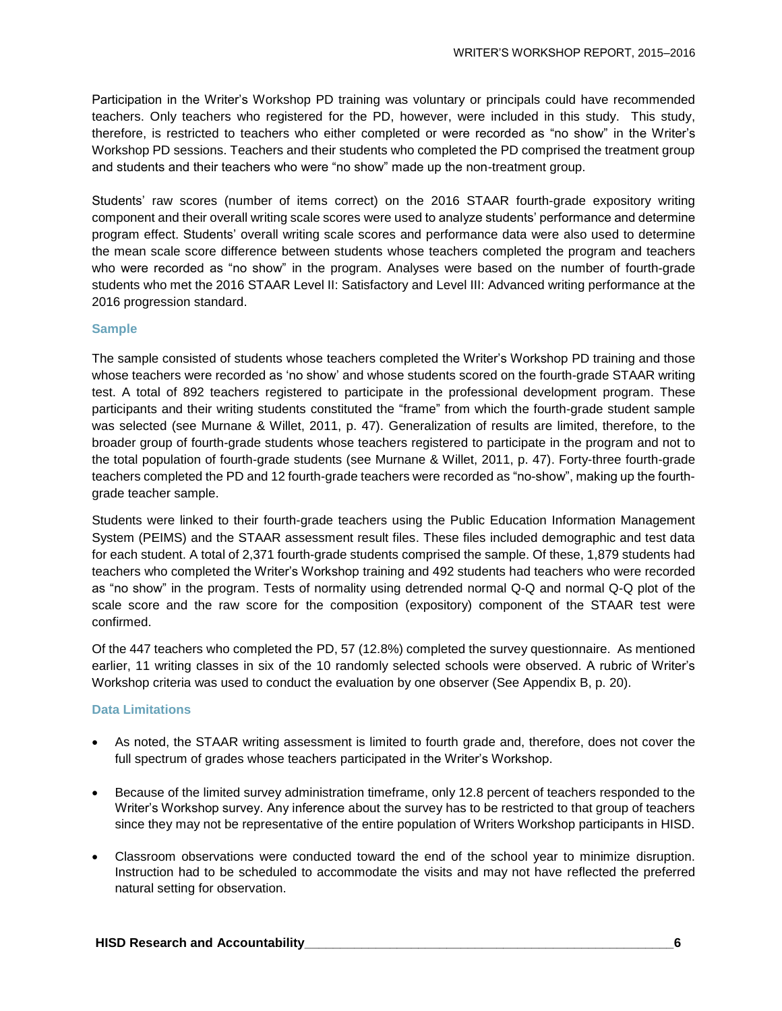Participation in the Writer's Workshop PD training was voluntary or principals could have recommended teachers. Only teachers who registered for the PD, however, were included in this study. This study, therefore, is restricted to teachers who either completed or were recorded as "no show" in the Writer's Workshop PD sessions. Teachers and their students who completed the PD comprised the treatment group and students and their teachers who were "no show" made up the non-treatment group.

Students' raw scores (number of items correct) on the 2016 STAAR fourth-grade expository writing component and their overall writing scale scores were used to analyze students' performance and determine program effect. Students' overall writing scale scores and performance data were also used to determine the mean scale score difference between students whose teachers completed the program and teachers who were recorded as "no show" in the program. Analyses were based on the number of fourth-grade students who met the 2016 STAAR Level II: Satisfactory and Level III: Advanced writing performance at the 2016 progression standard.

#### **Sample**

The sample consisted of students whose teachers completed the Writer's Workshop PD training and those whose teachers were recorded as 'no show' and whose students scored on the fourth-grade STAAR writing test. A total of 892 teachers registered to participate in the professional development program. These participants and their writing students constituted the "frame" from which the fourth-grade student sample was selected (see Murnane & Willet, 2011, p. 47). Generalization of results are limited, therefore, to the broader group of fourth-grade students whose teachers registered to participate in the program and not to the total population of fourth-grade students (see Murnane & Willet, 2011, p. 47). Forty-three fourth-grade teachers completed the PD and 12 fourth-grade teachers were recorded as "no-show", making up the fourthgrade teacher sample.

Students were linked to their fourth-grade teachers using the Public Education Information Management System (PEIMS) and the STAAR assessment result files. These files included demographic and test data for each student. A total of 2,371 fourth-grade students comprised the sample. Of these, 1,879 students had teachers who completed the Writer's Workshop training and 492 students had teachers who were recorded as "no show" in the program. Tests of normality using detrended normal Q-Q and normal Q-Q plot of the scale score and the raw score for the composition (expository) component of the STAAR test were confirmed.

Of the 447 teachers who completed the PD, 57 (12.8%) completed the survey questionnaire. As mentioned earlier, 11 writing classes in six of the 10 randomly selected schools were observed. A rubric of Writer's Workshop criteria was used to conduct the evaluation by one observer (See Appendix B, p. 20).

#### **Data Limitations**

- As noted, the STAAR writing assessment is limited to fourth grade and, therefore, does not cover the full spectrum of grades whose teachers participated in the Writer's Workshop.
- Because of the limited survey administration timeframe, only 12.8 percent of teachers responded to the Writer's Workshop survey. Any inference about the survey has to be restricted to that group of teachers since they may not be representative of the entire population of Writers Workshop participants in HISD.
- Classroom observations were conducted toward the end of the school year to minimize disruption. Instruction had to be scheduled to accommodate the visits and may not have reflected the preferred natural setting for observation.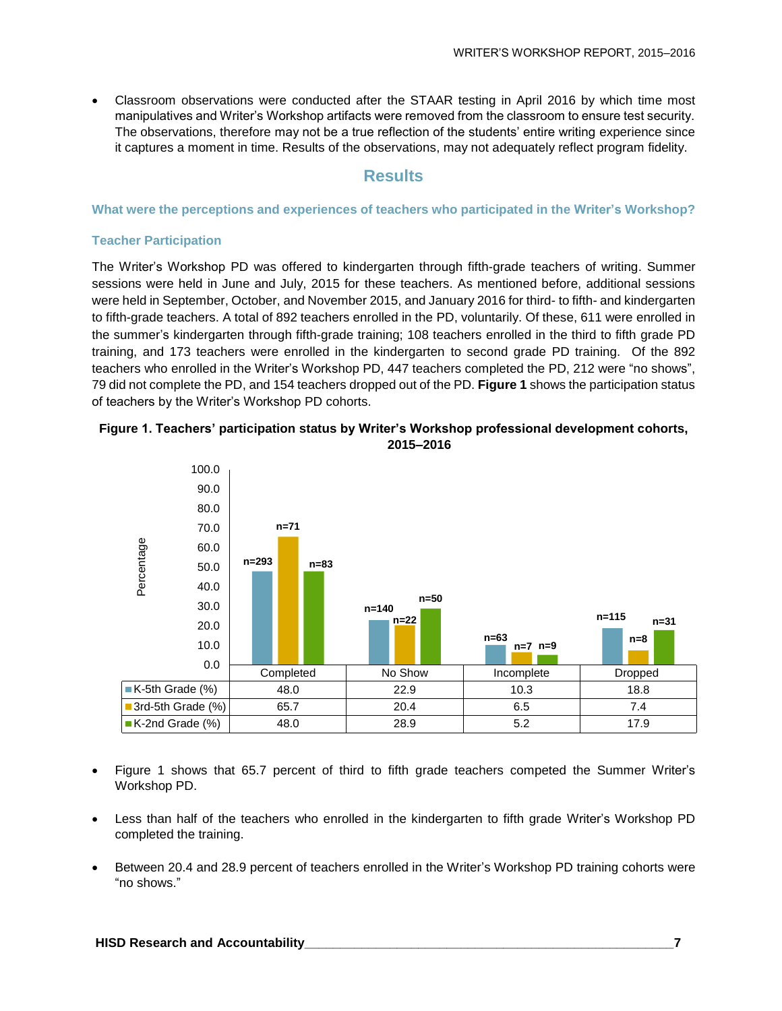Classroom observations were conducted after the STAAR testing in April 2016 by which time most manipulatives and Writer's Workshop artifacts were removed from the classroom to ensure test security. The observations, therefore may not be a true reflection of the students' entire writing experience since it captures a moment in time. Results of the observations, may not adequately reflect program fidelity.

#### **Results**

#### **What were the perceptions and experiences of teachers who participated in the Writer's Workshop?**

#### **Teacher Participation**

The Writer's Workshop PD was offered to kindergarten through fifth-grade teachers of writing. Summer sessions were held in June and July, 2015 for these teachers. As mentioned before, additional sessions were held in September, October, and November 2015, and January 2016 for third- to fifth- and kindergarten to fifth-grade teachers. A total of 892 teachers enrolled in the PD, voluntarily. Of these, 611 were enrolled in the summer's kindergarten through fifth-grade training; 108 teachers enrolled in the third to fifth grade PD training, and 173 teachers were enrolled in the kindergarten to second grade PD training. Of the 892 teachers who enrolled in the Writer's Workshop PD, 447 teachers completed the PD, 212 were "no shows", 79 did not complete the PD, and 154 teachers dropped out of the PD. **Figure 1** shows the participation status of teachers by the Writer's Workshop PD cohorts.



#### **Figure 1. Teachers' participation status by Writer's Workshop professional development cohorts, 2015–2016**

 Figure 1 shows that 65.7 percent of third to fifth grade teachers competed the Summer Writer's Workshop PD.

**3rd-5th Grade (%)**  $\vert$  **65.7**  $\vert$  **20.4**  $\vert$  **6.5**  $\vert$  **7.4**  $\vert$ **K-2nd Grade (%)** 48.0  $\qquad$  28.9  $\qquad$  5.2 17.9

- Less than half of the teachers who enrolled in the kindergarten to fifth grade Writer's Workshop PD completed the training.
- Between 20.4 and 28.9 percent of teachers enrolled in the Writer's Workshop PD training cohorts were "no shows."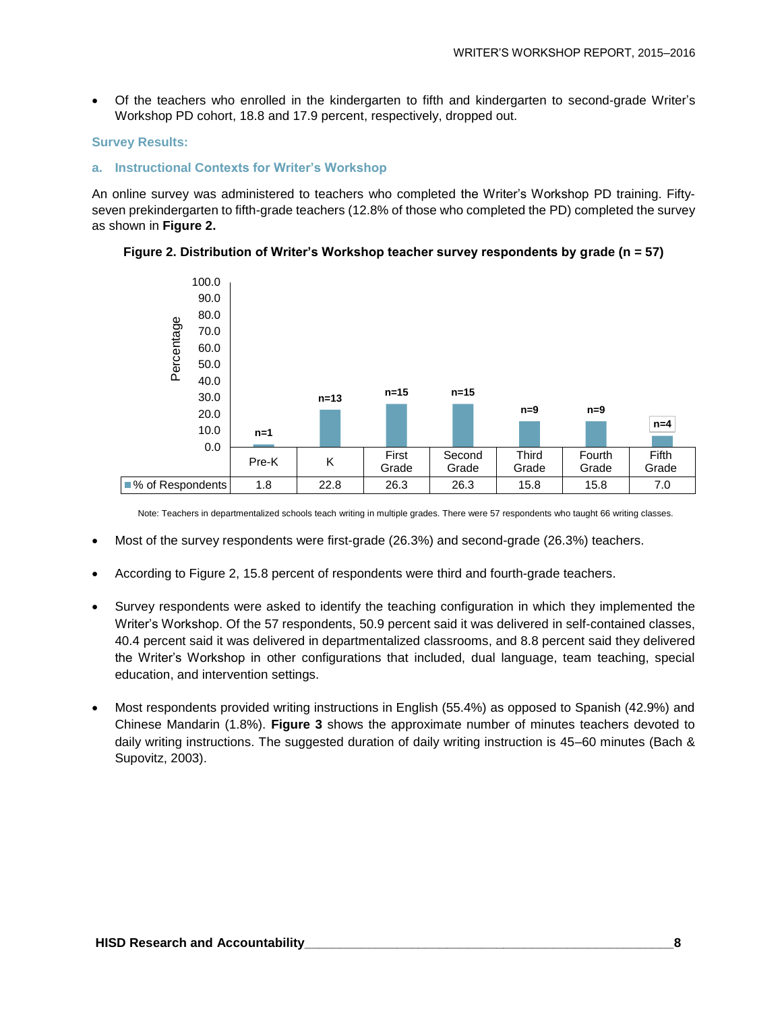Of the teachers who enrolled in the kindergarten to fifth and kindergarten to second-grade Writer's Workshop PD cohort, 18.8 and 17.9 percent, respectively, dropped out.

#### **Survey Results:**

#### **a. Instructional Contexts for Writer's Workshop**

An online survey was administered to teachers who completed the Writer's Workshop PD training. Fiftyseven prekindergarten to fifth-grade teachers (12.8% of those who completed the PD) completed the survey as shown in **Figure 2.** 





Note: Teachers in departmentalized schools teach writing in multiple grades. There were 57 respondents who taught 66 writing classes.

- Most of the survey respondents were first-grade (26.3%) and second-grade (26.3%) teachers.
- According to Figure 2, 15.8 percent of respondents were third and fourth-grade teachers.
- Survey respondents were asked to identify the teaching configuration in which they implemented the Writer's Workshop. Of the 57 respondents, 50.9 percent said it was delivered in self-contained classes, 40.4 percent said it was delivered in departmentalized classrooms, and 8.8 percent said they delivered the Writer's Workshop in other configurations that included, dual language, team teaching, special education, and intervention settings.
- Most respondents provided writing instructions in English (55.4%) as opposed to Spanish (42.9%) and Chinese Mandarin (1.8%). **Figure 3** shows the approximate number of minutes teachers devoted to daily writing instructions. The suggested duration of daily writing instruction is 45–60 minutes (Bach & Supovitz, 2003).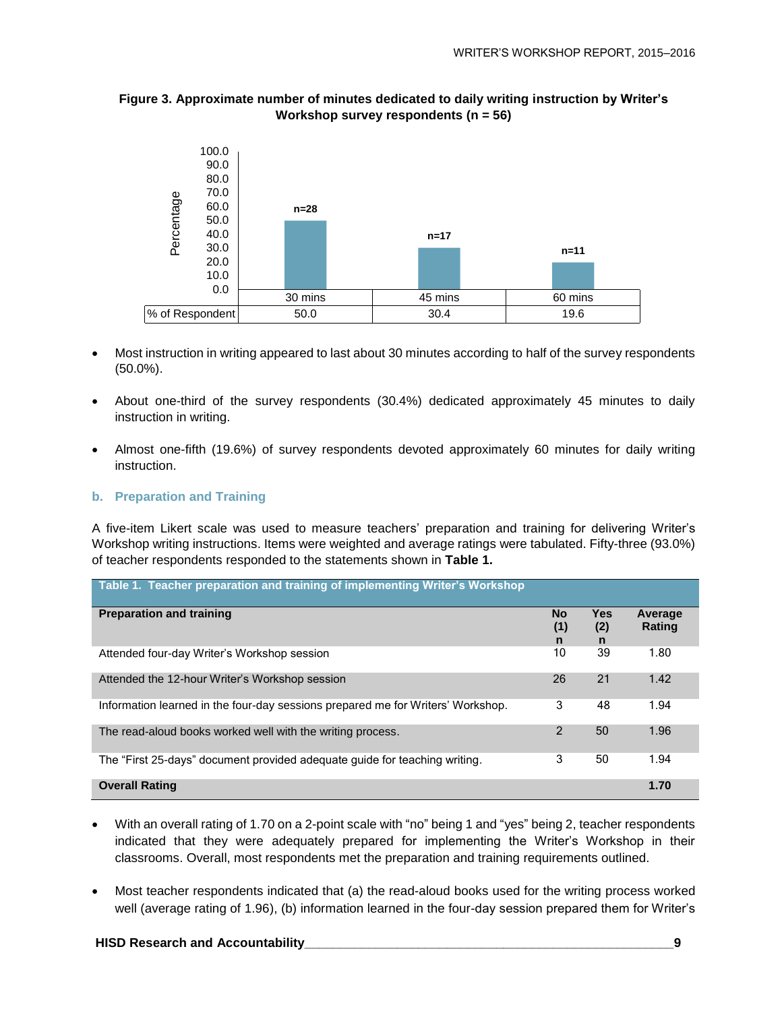

#### **Figure 3. Approximate number of minutes dedicated to daily writing instruction by Writer's Workshop survey respondents (n = 56)**

- Most instruction in writing appeared to last about 30 minutes according to half of the survey respondents (50.0%).
- About one-third of the survey respondents (30.4%) dedicated approximately 45 minutes to daily instruction in writing.
- Almost one-fifth (19.6%) of survey respondents devoted approximately 60 minutes for daily writing instruction.

#### **b. Preparation and Training**

A five-item Likert scale was used to measure teachers' preparation and training for delivering Writer's Workshop writing instructions. Items were weighted and average ratings were tabulated. Fifty-three (93.0%) of teacher respondents responded to the statements shown in **Table 1.**

| Table 1. Teacher preparation and training of implementing Writer's Workshop     |                       |                        |                   |
|---------------------------------------------------------------------------------|-----------------------|------------------------|-------------------|
| <b>Preparation and training</b>                                                 | <b>No</b><br>(1)<br>n | <b>Yes</b><br>(2)<br>n | Average<br>Rating |
| Attended four-day Writer's Workshop session                                     | 10                    | 39                     | 1.80              |
| Attended the 12-hour Writer's Workshop session                                  | 26                    | 21                     | 1.42              |
| Information learned in the four-day sessions prepared me for Writers' Workshop. | 3                     | 48                     | 1.94              |
| The read-aloud books worked well with the writing process.                      | 2                     | 50                     | 1.96              |
| The "First 25-days" document provided adequate quide for teaching writing.      | 3                     | 50                     | 1.94              |
| <b>Overall Rating</b>                                                           |                       |                        | 1.70              |

- With an overall rating of 1.70 on a 2-point scale with "no" being 1 and "yes" being 2, teacher respondents indicated that they were adequately prepared for implementing the Writer's Workshop in their classrooms. Overall, most respondents met the preparation and training requirements outlined.
- Most teacher respondents indicated that (a) the read-aloud books used for the writing process worked well (average rating of 1.96), (b) information learned in the four-day session prepared them for Writer's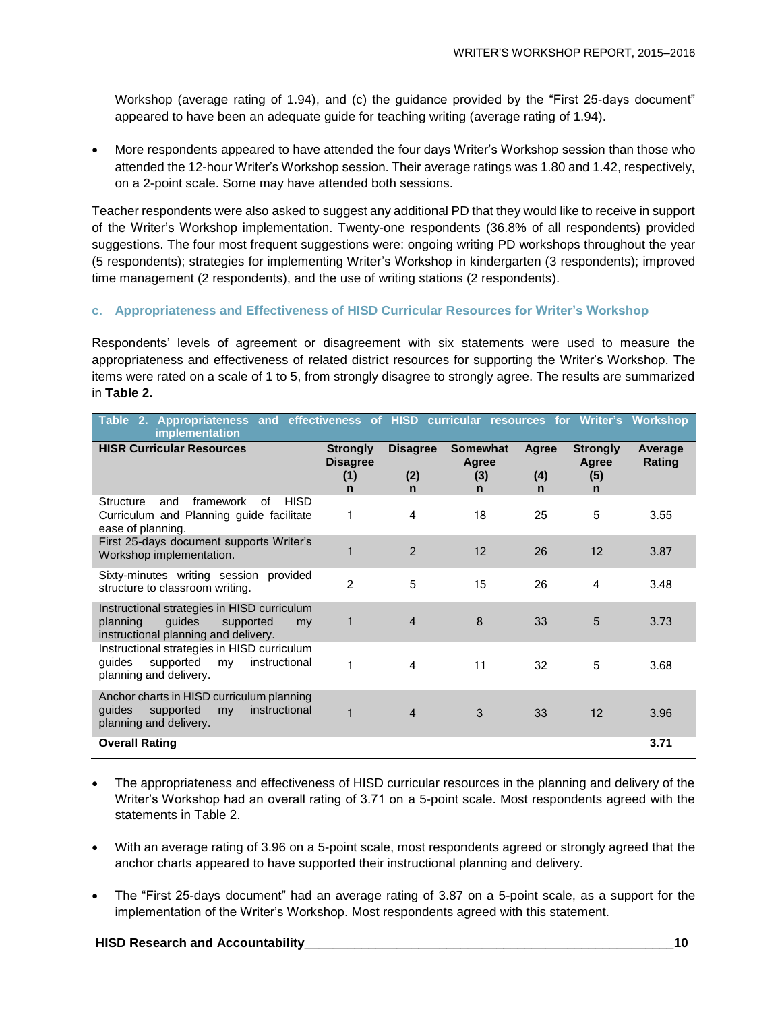Workshop (average rating of 1.94), and (c) the guidance provided by the "First 25-days document" appeared to have been an adequate guide for teaching writing (average rating of 1.94).

 More respondents appeared to have attended the four days Writer's Workshop session than those who attended the 12-hour Writer's Workshop session. Their average ratings was 1.80 and 1.42, respectively, on a 2-point scale. Some may have attended both sessions.

Teacher respondents were also asked to suggest any additional PD that they would like to receive in support of the Writer's Workshop implementation. Twenty-one respondents (36.8% of all respondents) provided suggestions. The four most frequent suggestions were: ongoing writing PD workshops throughout the year (5 respondents); strategies for implementing Writer's Workshop in kindergarten (3 respondents); improved time management (2 respondents), and the use of writing stations (2 respondents).

#### **c. Appropriateness and Effectiveness of HISD Curricular Resources for Writer's Workshop**

Respondents' levels of agreement or disagreement with six statements were used to measure the appropriateness and effectiveness of related district resources for supporting the Writer's Workshop. The items were rated on a scale of 1 to 5, from strongly disagree to strongly agree. The results are summarized in **Table 2.**

| Table 2. Appropriateness and effectiveness of HISD curricular resources for Writer's Workshop<br>implementation              |                                                          |                                        |                                                |                             |                                                 |                   |
|------------------------------------------------------------------------------------------------------------------------------|----------------------------------------------------------|----------------------------------------|------------------------------------------------|-----------------------------|-------------------------------------------------|-------------------|
| <b>HISR Curricular Resources</b>                                                                                             | <b>Strongly</b><br><b>Disagree</b><br>(1)<br>$\mathbf n$ | <b>Disagree</b><br>(2)<br>$\mathsf{n}$ | <b>Somewhat</b><br>Agree<br>(3)<br>$\mathbf n$ | Agree<br>(4)<br>$\mathbf n$ | <b>Strongly</b><br>Agree<br>(5)<br>$\mathsf{n}$ | Average<br>Rating |
| <b>HISD</b><br>of<br>Structure<br>and<br>framework<br>Curriculum and Planning guide facilitate<br>ease of planning.          |                                                          | $\overline{4}$                         | 18                                             | 25                          | 5                                               | 3.55              |
| First 25-days document supports Writer's<br>Workshop implementation.                                                         |                                                          | $\overline{2}$                         | 12                                             | 26                          | 12                                              | 3.87              |
| Sixty-minutes writing session provided<br>structure to classroom writing.                                                    | $\overline{2}$                                           | 5                                      | 15                                             | 26                          | 4                                               | 3.48              |
| Instructional strategies in HISD curriculum<br>guides<br>planning<br>supported<br>my<br>instructional planning and delivery. |                                                          | $\overline{4}$                         | 8                                              | 33                          | 5                                               | 3.73              |
| Instructional strategies in HISD curriculum<br>supported<br>instructional<br>quides<br>my<br>planning and delivery.          |                                                          | 4                                      | 11                                             | 32                          | 5                                               | 3.68              |
| Anchor charts in HISD curriculum planning<br>quides<br>instructional<br>supported<br>my<br>planning and delivery.            | 1                                                        | $\overline{4}$                         | 3                                              | 33                          | 12                                              | 3.96              |
| <b>Overall Rating</b>                                                                                                        |                                                          |                                        |                                                |                             |                                                 | 3.71              |

- The appropriateness and effectiveness of HISD curricular resources in the planning and delivery of the Writer's Workshop had an overall rating of 3.71 on a 5-point scale. Most respondents agreed with the statements in Table 2.
- With an average rating of 3.96 on a 5-point scale, most respondents agreed or strongly agreed that the anchor charts appeared to have supported their instructional planning and delivery.
- The "First 25-days document" had an average rating of 3.87 on a 5-point scale, as a support for the implementation of the Writer's Workshop. Most respondents agreed with this statement.

#### **HISD Research and Accountability\_\_\_\_\_\_\_\_\_\_\_\_\_\_\_\_\_\_\_\_\_\_\_\_\_\_\_\_\_\_\_\_\_\_\_\_\_\_\_\_\_\_\_\_\_\_\_\_\_\_\_\_10**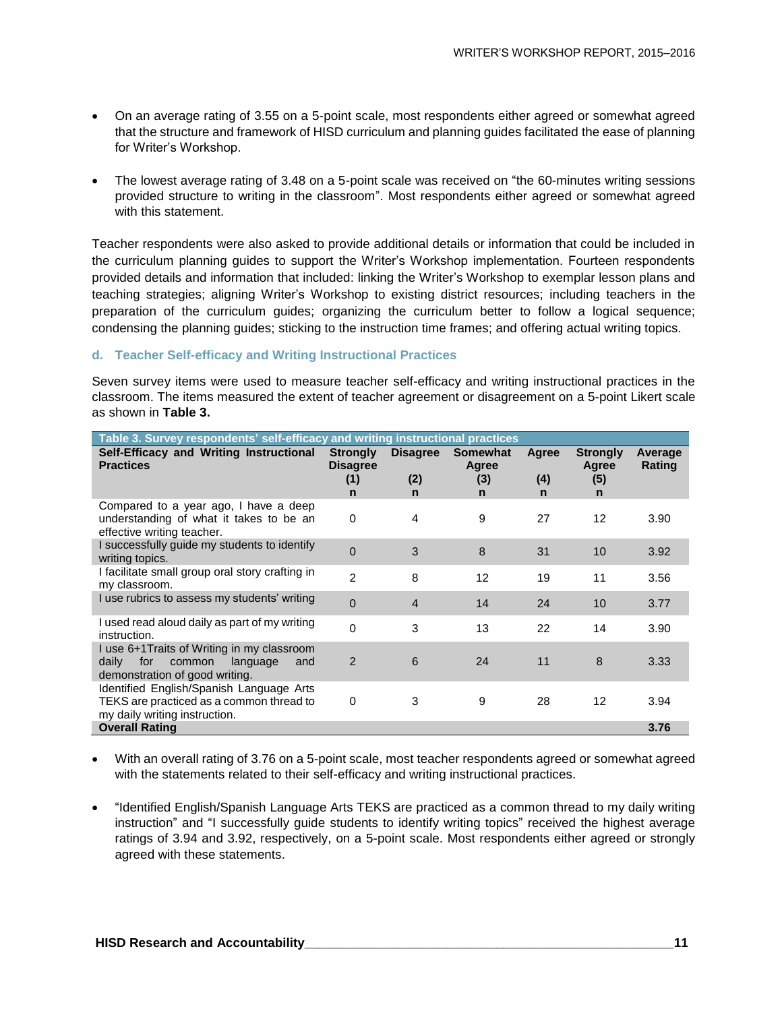- On an average rating of 3.55 on a 5-point scale, most respondents either agreed or somewhat agreed that the structure and framework of HISD curriculum and planning guides facilitated the ease of planning for Writer's Workshop.
- The lowest average rating of 3.48 on a 5-point scale was received on "the 60-minutes writing sessions provided structure to writing in the classroom". Most respondents either agreed or somewhat agreed with this statement.

Teacher respondents were also asked to provide additional details or information that could be included in the curriculum planning guides to support the Writer's Workshop implementation. Fourteen respondents provided details and information that included: linking the Writer's Workshop to exemplar lesson plans and teaching strategies; aligning Writer's Workshop to existing district resources; including teachers in the preparation of the curriculum guides; organizing the curriculum better to follow a logical sequence; condensing the planning guides; sticking to the instruction time frames; and offering actual writing topics.

#### **d. Teacher Self-efficacy and Writing Instructional Practices**

Seven survey items were used to measure teacher self-efficacy and writing instructional practices in the classroom. The items measured the extent of teacher agreement or disagreement on a 5-point Likert scale as shown in **Table 3.**

| Table 3. Survey respondents' self-efficacy and writing instructional practices                                             |                                                |                             |                               |                   |                                      |                   |  |  |  |
|----------------------------------------------------------------------------------------------------------------------------|------------------------------------------------|-----------------------------|-------------------------------|-------------------|--------------------------------------|-------------------|--|--|--|
| Self-Efficacy and Writing Instructional<br><b>Practices</b>                                                                | <b>Strongly</b><br><b>Disagree</b><br>(1)<br>n | <b>Disagree</b><br>(2)<br>n | Somewhat<br>Agree<br>(3)<br>n | Agree<br>(4)<br>n | <b>Strongly</b><br>Agree<br>(5)<br>n | Average<br>Rating |  |  |  |
| Compared to a year ago, I have a deep<br>understanding of what it takes to be an<br>effective writing teacher.             | $\mathbf 0$                                    | 4                           | 9                             | 27                | 12                                   | 3.90              |  |  |  |
| I successfully guide my students to identify<br>writing topics.                                                            | $\Omega$                                       | 3                           | 8                             | 31                | 10                                   | 3.92              |  |  |  |
| I facilitate small group oral story crafting in<br>my classroom.                                                           | $\overline{2}$                                 | 8                           | 12                            | 19                | 11                                   | 3.56              |  |  |  |
| I use rubrics to assess my students' writing                                                                               | $\Omega$                                       | $\overline{4}$              | 14                            | 24                | 10                                   | 3.77              |  |  |  |
| I used read aloud daily as part of my writing<br>instruction.                                                              | $\mathbf{0}$                                   | 3                           | 13                            | 22                | 14                                   | 3.90              |  |  |  |
| I use 6+1 Traits of Writing in my classroom<br>daily<br>for<br>common<br>language<br>and<br>demonstration of good writing. | 2                                              | 6                           | 24                            | 11                | 8                                    | 3.33              |  |  |  |
| Identified English/Spanish Language Arts<br>TEKS are practiced as a common thread to<br>my daily writing instruction.      | 0                                              | 3                           | 9                             | 28                | 12                                   | 3.94              |  |  |  |
| <b>Overall Rating</b>                                                                                                      |                                                |                             |                               |                   |                                      | 3.76              |  |  |  |

- With an overall rating of 3.76 on a 5-point scale, most teacher respondents agreed or somewhat agreed with the statements related to their self-efficacy and writing instructional practices.
- "Identified English/Spanish Language Arts TEKS are practiced as a common thread to my daily writing instruction" and "I successfully guide students to identify writing topics" received the highest average ratings of 3.94 and 3.92, respectively, on a 5-point scale. Most respondents either agreed or strongly agreed with these statements.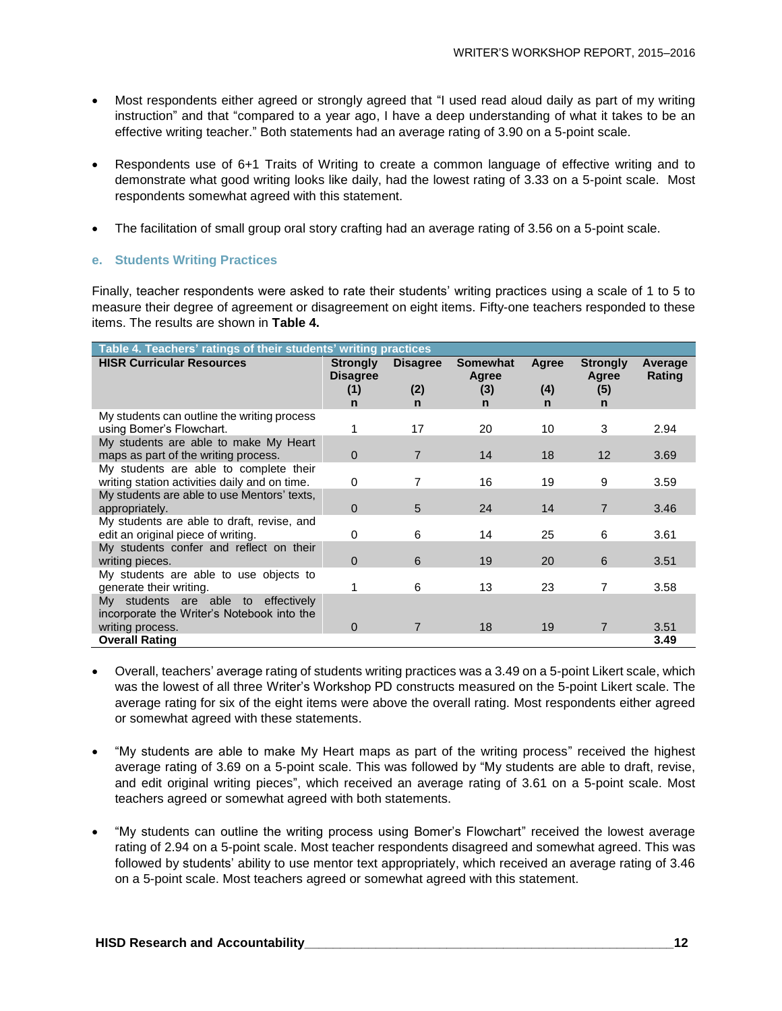- Most respondents either agreed or strongly agreed that "I used read aloud daily as part of my writing instruction" and that "compared to a year ago, I have a deep understanding of what it takes to be an effective writing teacher." Both statements had an average rating of 3.90 on a 5-point scale.
- Respondents use of 6+1 Traits of Writing to create a common language of effective writing and to demonstrate what good writing looks like daily, had the lowest rating of 3.33 on a 5-point scale. Most respondents somewhat agreed with this statement.
- The facilitation of small group oral story crafting had an average rating of 3.56 on a 5-point scale.

#### **e. Students Writing Practices**

Finally, teacher respondents were asked to rate their students' writing practices using a scale of 1 to 5 to measure their degree of agreement or disagreement on eight items. Fifty-one teachers responded to these items. The results are shown in **Table 4.** 

| Table 4. Teachers' ratings of their students' writing practices                   |                                    |                 |                          |                     |                          |                   |  |  |  |
|-----------------------------------------------------------------------------------|------------------------------------|-----------------|--------------------------|---------------------|--------------------------|-------------------|--|--|--|
| <b>HISR Curricular Resources</b>                                                  | <b>Strongly</b><br><b>Disagree</b> | <b>Disagree</b> | <b>Somewhat</b><br>Agree | <b>Agree</b>        | <b>Strongly</b><br>Agree | Average<br>Rating |  |  |  |
|                                                                                   | (1)<br>$\mathsf{n}$                | (2)<br>n        | (3)<br>n                 | (4)<br>$\mathsf{n}$ | (5)<br>n                 |                   |  |  |  |
| My students can outline the writing process                                       |                                    |                 |                          |                     |                          |                   |  |  |  |
| using Bomer's Flowchart.                                                          |                                    | 17              | 20                       | 10                  | 3                        | 2.94              |  |  |  |
| My students are able to make My Heart                                             |                                    |                 |                          |                     |                          |                   |  |  |  |
| maps as part of the writing process.                                              | $\mathbf 0$                        | 7               | 14                       | 18                  | 12                       | 3.69              |  |  |  |
| My students are able to complete their                                            |                                    |                 |                          |                     |                          |                   |  |  |  |
| writing station activities daily and on time.                                     | 0                                  | 7               | 16                       | 19                  | 9                        | 3.59              |  |  |  |
| My students are able to use Mentors' texts,                                       |                                    |                 |                          |                     |                          |                   |  |  |  |
| appropriately.                                                                    | $\mathbf 0$                        | 5               | 24                       | 14                  | 7                        | 3.46              |  |  |  |
| My students are able to draft, revise, and                                        |                                    |                 |                          |                     |                          |                   |  |  |  |
| edit an original piece of writing.                                                | 0                                  | 6               | 14                       | 25                  | 6                        | 3.61              |  |  |  |
| My students confer and reflect on their                                           |                                    |                 |                          |                     |                          |                   |  |  |  |
| writing pieces.                                                                   | $\mathbf 0$                        | 6               | 19                       | 20                  | 6                        | 3.51              |  |  |  |
| My students are able to use objects to                                            |                                    |                 |                          |                     |                          |                   |  |  |  |
| generate their writing.                                                           |                                    | 6               | 13                       | 23                  | 7                        | 3.58              |  |  |  |
| My students are able to effectively<br>incorporate the Writer's Notebook into the |                                    |                 |                          |                     |                          |                   |  |  |  |
| writing process.                                                                  | $\mathbf 0$                        | 7               | 18                       | 19                  | 7                        | 3.51              |  |  |  |
| <b>Overall Rating</b>                                                             |                                    |                 |                          |                     |                          | 3.49              |  |  |  |

- Overall, teachers' average rating of students writing practices was a 3.49 on a 5-point Likert scale, which was the lowest of all three Writer's Workshop PD constructs measured on the 5-point Likert scale. The average rating for six of the eight items were above the overall rating. Most respondents either agreed or somewhat agreed with these statements.
- "My students are able to make My Heart maps as part of the writing process" received the highest average rating of 3.69 on a 5-point scale. This was followed by "My students are able to draft, revise, and edit original writing pieces", which received an average rating of 3.61 on a 5-point scale. Most teachers agreed or somewhat agreed with both statements.
- "My students can outline the writing process using Bomer's Flowchart" received the lowest average rating of 2.94 on a 5-point scale. Most teacher respondents disagreed and somewhat agreed. This was followed by students' ability to use mentor text appropriately, which received an average rating of 3.46 on a 5-point scale. Most teachers agreed or somewhat agreed with this statement.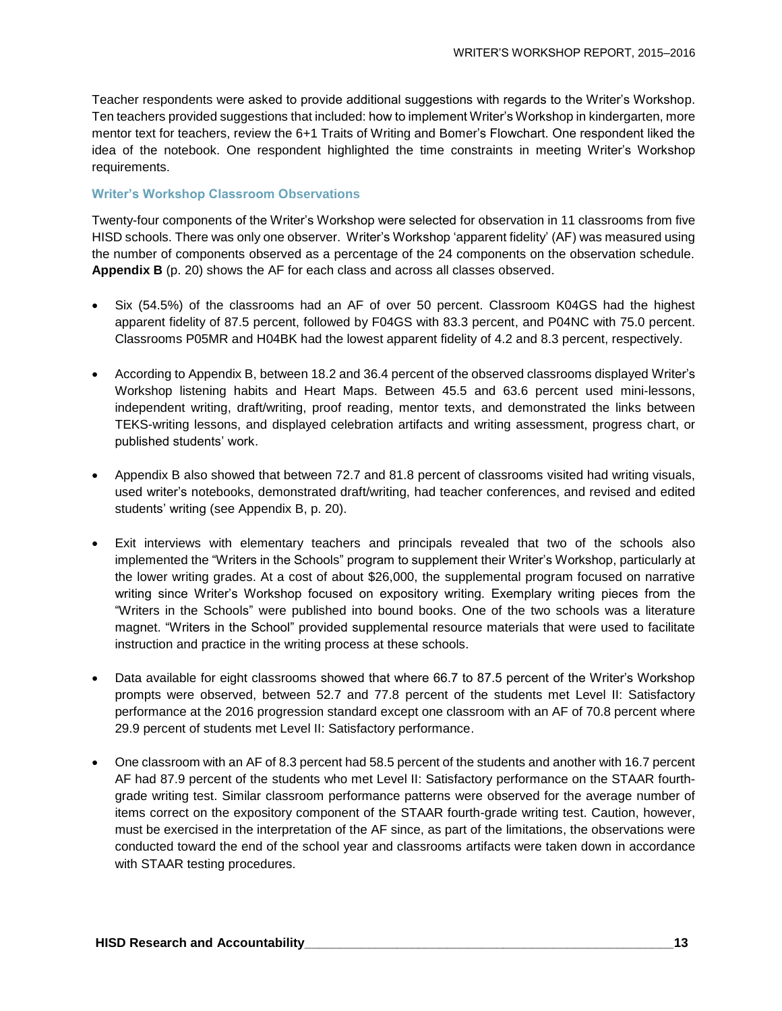Teacher respondents were asked to provide additional suggestions with regards to the Writer's Workshop. Ten teachers provided suggestions that included: how to implement Writer's Workshop in kindergarten, more mentor text for teachers, review the 6+1 Traits of Writing and Bomer's Flowchart. One respondent liked the idea of the notebook. One respondent highlighted the time constraints in meeting Writer's Workshop requirements.

#### **Writer's Workshop Classroom Observations**

Twenty-four components of the Writer's Workshop were selected for observation in 11 classrooms from five HISD schools. There was only one observer. Writer's Workshop 'apparent fidelity' (AF) was measured using the number of components observed as a percentage of the 24 components on the observation schedule. **Appendix B** (p. 20) shows the AF for each class and across all classes observed.

- Six (54.5%) of the classrooms had an AF of over 50 percent. Classroom K04GS had the highest apparent fidelity of 87.5 percent, followed by F04GS with 83.3 percent, and P04NC with 75.0 percent. Classrooms P05MR and H04BK had the lowest apparent fidelity of 4.2 and 8.3 percent, respectively.
- According to Appendix B, between 18.2 and 36.4 percent of the observed classrooms displayed Writer's Workshop listening habits and Heart Maps. Between 45.5 and 63.6 percent used mini-lessons, independent writing, draft/writing, proof reading, mentor texts, and demonstrated the links between TEKS-writing lessons, and displayed celebration artifacts and writing assessment, progress chart, or published students' work.
- Appendix B also showed that between 72.7 and 81.8 percent of classrooms visited had writing visuals, used writer's notebooks, demonstrated draft/writing, had teacher conferences, and revised and edited students' writing (see Appendix B, p. 20).
- Exit interviews with elementary teachers and principals revealed that two of the schools also implemented the "Writers in the Schools" program to supplement their Writer's Workshop, particularly at the lower writing grades. At a cost of about \$26,000, the supplemental program focused on narrative writing since Writer's Workshop focused on expository writing. Exemplary writing pieces from the "Writers in the Schools" were published into bound books. One of the two schools was a literature magnet. "Writers in the School" provided supplemental resource materials that were used to facilitate instruction and practice in the writing process at these schools.
- Data available for eight classrooms showed that where 66.7 to 87.5 percent of the Writer's Workshop prompts were observed, between 52.7 and 77.8 percent of the students met Level II: Satisfactory performance at the 2016 progression standard except one classroom with an AF of 70.8 percent where 29.9 percent of students met Level II: Satisfactory performance.
- One classroom with an AF of 8.3 percent had 58.5 percent of the students and another with 16.7 percent AF had 87.9 percent of the students who met Level II: Satisfactory performance on the STAAR fourthgrade writing test. Similar classroom performance patterns were observed for the average number of items correct on the expository component of the STAAR fourth-grade writing test. Caution, however, must be exercised in the interpretation of the AF since, as part of the limitations, the observations were conducted toward the end of the school year and classrooms artifacts were taken down in accordance with STAAR testing procedures.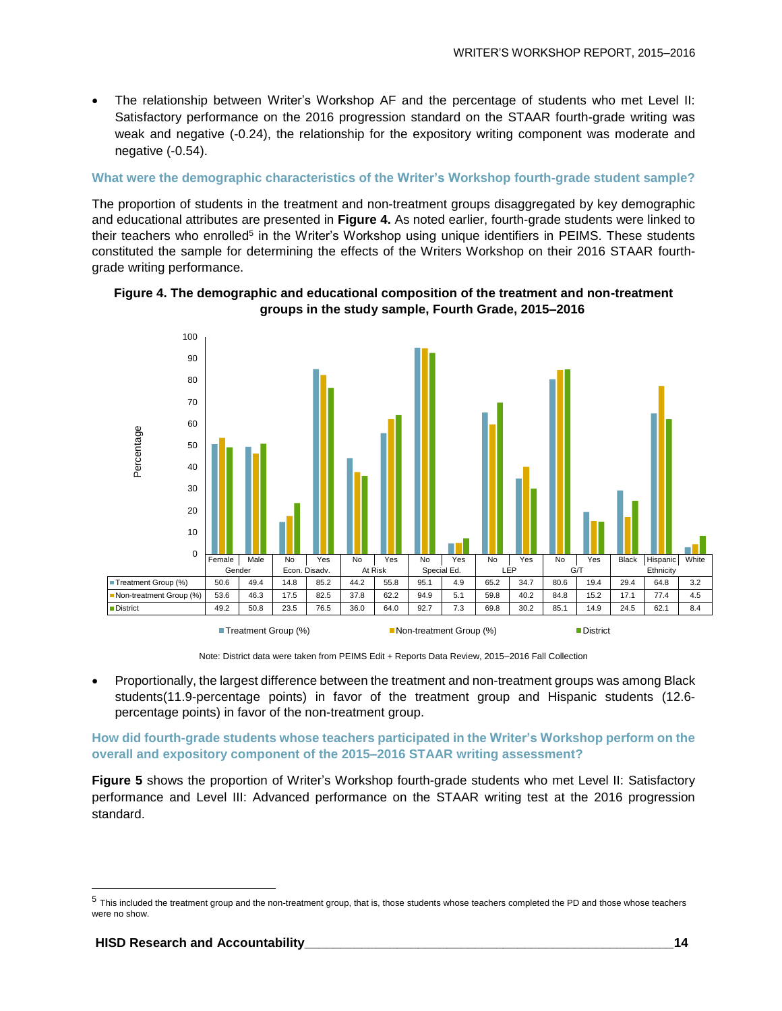The relationship between Writer's Workshop AF and the percentage of students who met Level II: Satisfactory performance on the 2016 progression standard on the STAAR fourth-grade writing was weak and negative (-0.24), the relationship for the expository writing component was moderate and negative (-0.54).

#### **What were the demographic characteristics of the Writer's Workshop fourth-grade student sample?**

The proportion of students in the treatment and non-treatment groups disaggregated by key demographic and educational attributes are presented in **Figure 4.** As noted earlier, fourth-grade students were linked to their teachers who enrolled<sup>5</sup> in the Writer's Workshop using unique identifiers in PEIMS. These students constituted the sample for determining the effects of the Writers Workshop on their 2016 STAAR fourthgrade writing performance.





Note: District data were taken from PEIMS Edit + Reports Data Review, 2015–2016 Fall Collection

 Proportionally, the largest difference between the treatment and non-treatment groups was among Black students(11.9-percentage points) in favor of the treatment group and Hispanic students (12.6 percentage points) in favor of the non-treatment group.

**How did fourth-grade students whose teachers participated in the Writer's Workshop perform on the overall and expository component of the 2015–2016 STAAR writing assessment?**

**Figure 5** shows the proportion of Writer's Workshop fourth-grade students who met Level II: Satisfactory performance and Level III: Advanced performance on the STAAR writing test at the 2016 progression standard.

l

<sup>5</sup> This included the treatment group and the non-treatment group, that is, those students whose teachers completed the PD and those whose teachers were no show.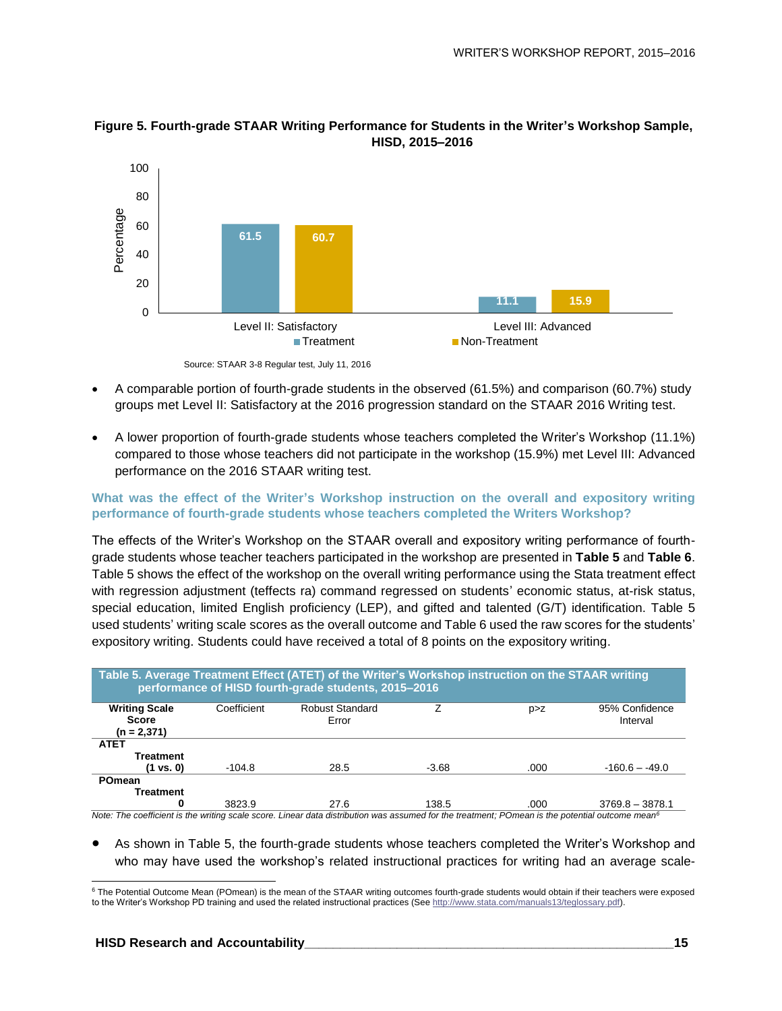

**Figure 5. Fourth-grade STAAR Writing Performance for Students in the Writer's Workshop Sample, HISD, 2015–2016**

- A comparable portion of fourth-grade students in the observed (61.5%) and comparison (60.7%) study groups met Level II: Satisfactory at the 2016 progression standard on the STAAR 2016 Writing test.
- A lower proportion of fourth-grade students whose teachers completed the Writer's Workshop (11.1%) compared to those whose teachers did not participate in the workshop (15.9%) met Level III: Advanced performance on the 2016 STAAR writing test.

#### **What was the effect of the Writer's Workshop instruction on the overall and expository writing performance of fourth-grade students whose teachers completed the Writers Workshop?**

The effects of the Writer's Workshop on the STAAR overall and expository writing performance of fourthgrade students whose teacher teachers participated in the workshop are presented in **Table 5** and **Table 6**. Table 5 shows the effect of the workshop on the overall writing performance using the Stata treatment effect with regression adjustment (teffects ra) command regressed on students' economic status, at-risk status, special education, limited English proficiency (LEP), and gifted and talented (G/T) identification. Table 5 used students' writing scale scores as the overall outcome and Table 6 used the raw scores for the students' expository writing. Students could have received a total of 8 points on the expository writing.

| Table 5. Average Treatment Effect (ATET) of the Writer's Workshop instruction on the STAAR writing<br>performance of HISD fourth-grade students, 2015-2016 |             |                                 |         |       |                            |  |  |  |  |  |
|------------------------------------------------------------------------------------------------------------------------------------------------------------|-------------|---------------------------------|---------|-------|----------------------------|--|--|--|--|--|
| <b>Writing Scale</b><br><b>Score</b><br>$(n = 2,371)$                                                                                                      | Coefficient | <b>Robust Standard</b><br>Error |         | p > Z | 95% Confidence<br>Interval |  |  |  |  |  |
| <b>ATET</b>                                                                                                                                                |             |                                 |         |       |                            |  |  |  |  |  |
| <b>Treatment</b>                                                                                                                                           |             |                                 |         |       |                            |  |  |  |  |  |
| (1 vs. 0)                                                                                                                                                  | $-104.8$    | 28.5                            | $-3.68$ | .000  | $-160.6 - -49.0$           |  |  |  |  |  |
| POmean<br>Treatment                                                                                                                                        |             |                                 |         |       |                            |  |  |  |  |  |
| 0                                                                                                                                                          | 3823.9      | 27.6                            | 138.5   | .000  | $3769.8 - 3878.1$          |  |  |  |  |  |

 As shown in Table 5, the fourth-grade students whose teachers completed the Writer's Workshop and who may have used the workshop's related instructional practices for writing had an average scale-

Source: STAAR 3-8 Regular test, July 11, 2016

l <sup>6</sup> The Potential Outcome Mean (POmean) is the mean of the STAAR writing outcomes fourth-grade students would obtain if their teachers were exposed to the Writer's Workshop PD training and used the related instructional practices (See [http://www.stata.com/manuals13/teglossary.pdf\).](http://www.stata.com/manuals13/teglossary.pdf)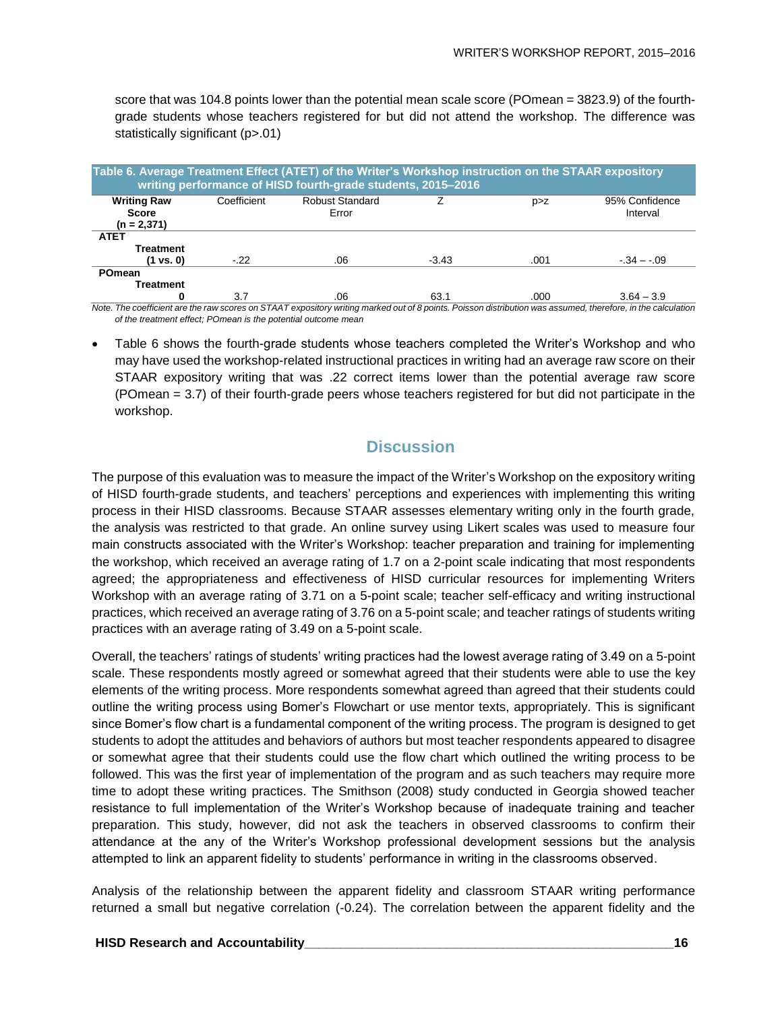score that was 104.8 points lower than the potential mean scale score (POmean = 3823.9) of the fourthgrade students whose teachers registered for but did not attend the workshop. The difference was statistically significant (p>.01)

| Table 6. Average Treatment Effect (ATET) of the Writer's Workshop instruction on the STAAR expository<br>writing performance of HISD fourth-grade students, 2015-2016 |             |                                                                                                                                                             |         |       |                            |  |  |  |  |
|-----------------------------------------------------------------------------------------------------------------------------------------------------------------------|-------------|-------------------------------------------------------------------------------------------------------------------------------------------------------------|---------|-------|----------------------------|--|--|--|--|
| <b>Writing Raw</b><br>Score<br>(n = 2,371)                                                                                                                            | Coefficient | <b>Robust Standard</b><br>Error                                                                                                                             |         | p > z | 95% Confidence<br>Interval |  |  |  |  |
| <b>ATET</b>                                                                                                                                                           |             |                                                                                                                                                             |         |       |                            |  |  |  |  |
| <b>Treatment</b>                                                                                                                                                      |             |                                                                                                                                                             |         |       |                            |  |  |  |  |
| $(1 \text{ vs. } 0)$                                                                                                                                                  | $-22$       | .06                                                                                                                                                         | $-3.43$ | .001  | $-34 - 09$                 |  |  |  |  |
| POmean                                                                                                                                                                |             |                                                                                                                                                             |         |       |                            |  |  |  |  |
| Treatment                                                                                                                                                             |             |                                                                                                                                                             |         |       |                            |  |  |  |  |
|                                                                                                                                                                       | 3.7         | .06                                                                                                                                                         | 63.1    | .000  | $3.64 - 3.9$               |  |  |  |  |
|                                                                                                                                                                       |             | Note The coefficient are the raw scores on STAAT expository writing marked out of 8 points. Poisson distribution was assumed, therefore, in the calculation |         |       |                            |  |  |  |  |

*Note. The coefficient are the raw scores on STAAT expository writing marked out of 8 points. Poisson distribution was assumed, therefore, in the calculation of the treatment effect; POmean is the potential outcome mean*

• Table 6 shows the fourth-grade students whose teachers completed the Writer's Workshop and who may have used the workshop-related instructional practices in writing had an average raw score on their STAAR expository writing that was .22 correct items lower than the potential average raw score (POmean = 3.7) of their fourth-grade peers whose teachers registered for but did not participate in the workshop.

#### **Discussion**

The purpose of this evaluation was to measure the impact of the Writer's Workshop on the expository writing of HISD fourth-grade students, and teachers' perceptions and experiences with implementing this writing process in their HISD classrooms. Because STAAR assesses elementary writing only in the fourth grade, the analysis was restricted to that grade. An online survey using Likert scales was used to measure four main constructs associated with the Writer's Workshop: teacher preparation and training for implementing the workshop, which received an average rating of 1.7 on a 2-point scale indicating that most respondents agreed; the appropriateness and effectiveness of HISD curricular resources for implementing Writers Workshop with an average rating of 3.71 on a 5-point scale; teacher self-efficacy and writing instructional practices, which received an average rating of 3.76 on a 5-point scale; and teacher ratings of students writing practices with an average rating of 3.49 on a 5-point scale.

Overall, the teachers' ratings of students' writing practices had the lowest average rating of 3.49 on a 5-point scale. These respondents mostly agreed or somewhat agreed that their students were able to use the key elements of the writing process. More respondents somewhat agreed than agreed that their students could outline the writing process using Bomer's Flowchart or use mentor texts, appropriately. This is significant since Bomer's flow chart is a fundamental component of the writing process. The program is designed to get students to adopt the attitudes and behaviors of authors but most teacher respondents appeared to disagree or somewhat agree that their students could use the flow chart which outlined the writing process to be followed. This was the first year of implementation of the program and as such teachers may require more time to adopt these writing practices. The Smithson (2008) study conducted in Georgia showed teacher resistance to full implementation of the Writer's Workshop because of inadequate training and teacher preparation. This study, however, did not ask the teachers in observed classrooms to confirm their attendance at the any of the Writer's Workshop professional development sessions but the analysis attempted to link an apparent fidelity to students' performance in writing in the classrooms observed.

Analysis of the relationship between the apparent fidelity and classroom STAAR writing performance returned a small but negative correlation (-0.24). The correlation between the apparent fidelity and the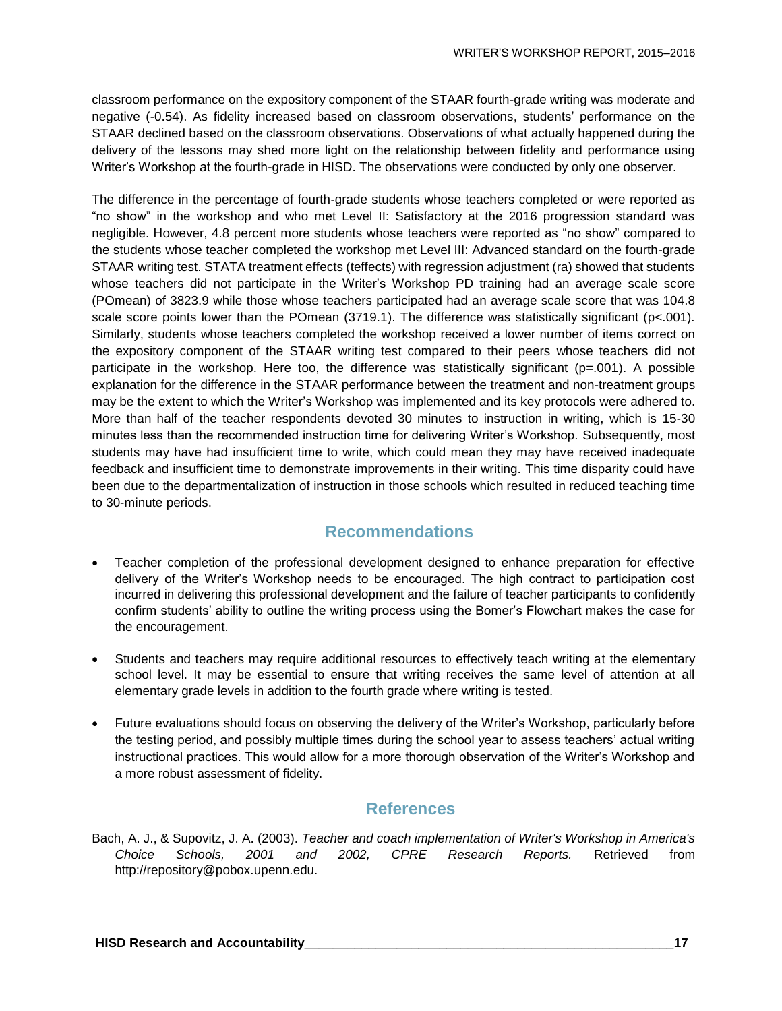classroom performance on the expository component of the STAAR fourth-grade writing was moderate and negative (-0.54). As fidelity increased based on classroom observations, students' performance on the STAAR declined based on the classroom observations. Observations of what actually happened during the delivery of the lessons may shed more light on the relationship between fidelity and performance using Writer's Workshop at the fourth-grade in HISD. The observations were conducted by only one observer.

The difference in the percentage of fourth-grade students whose teachers completed or were reported as "no show" in the workshop and who met Level II: Satisfactory at the 2016 progression standard was negligible. However, 4.8 percent more students whose teachers were reported as "no show" compared to the students whose teacher completed the workshop met Level III: Advanced standard on the fourth-grade STAAR writing test. STATA treatment effects (teffects) with regression adjustment (ra) showed that students whose teachers did not participate in the Writer's Workshop PD training had an average scale score (POmean) of 3823.9 while those whose teachers participated had an average scale score that was 104.8 scale score points lower than the POmean  $(3719.1)$ . The difference was statistically significant (p<.001). Similarly, students whose teachers completed the workshop received a lower number of items correct on the expository component of the STAAR writing test compared to their peers whose teachers did not participate in the workshop. Here too, the difference was statistically significant  $(p=.001)$ . A possible explanation for the difference in the STAAR performance between the treatment and non-treatment groups may be the extent to which the Writer's Workshop was implemented and its key protocols were adhered to. More than half of the teacher respondents devoted 30 minutes to instruction in writing, which is 15-30 minutes less than the recommended instruction time for delivering Writer's Workshop. Subsequently, most students may have had insufficient time to write, which could mean they may have received inadequate feedback and insufficient time to demonstrate improvements in their writing. This time disparity could have been due to the departmentalization of instruction in those schools which resulted in reduced teaching time to 30-minute periods.

### **Recommendations**

- Teacher completion of the professional development designed to enhance preparation for effective delivery of the Writer's Workshop needs to be encouraged. The high contract to participation cost incurred in delivering this professional development and the failure of teacher participants to confidently confirm students' ability to outline the writing process using the Bomer's Flowchart makes the case for the encouragement.
- Students and teachers may require additional resources to effectively teach writing at the elementary school level. It may be essential to ensure that writing receives the same level of attention at all elementary grade levels in addition to the fourth grade where writing is tested.
- Future evaluations should focus on observing the delivery of the Writer's Workshop, particularly before the testing period, and possibly multiple times during the school year to assess teachers' actual writing instructional practices. This would allow for a more thorough observation of the Writer's Workshop and a more robust assessment of fidelity.

#### **References**

Bach, A. J., & Supovitz, J. A. (2003). *Teacher and coach implementation of Writer's Workshop in America's Choice Schools, 2001 and 2002, CPRE Research Reports.* Retrieved from http://repository@pobox.upenn.edu.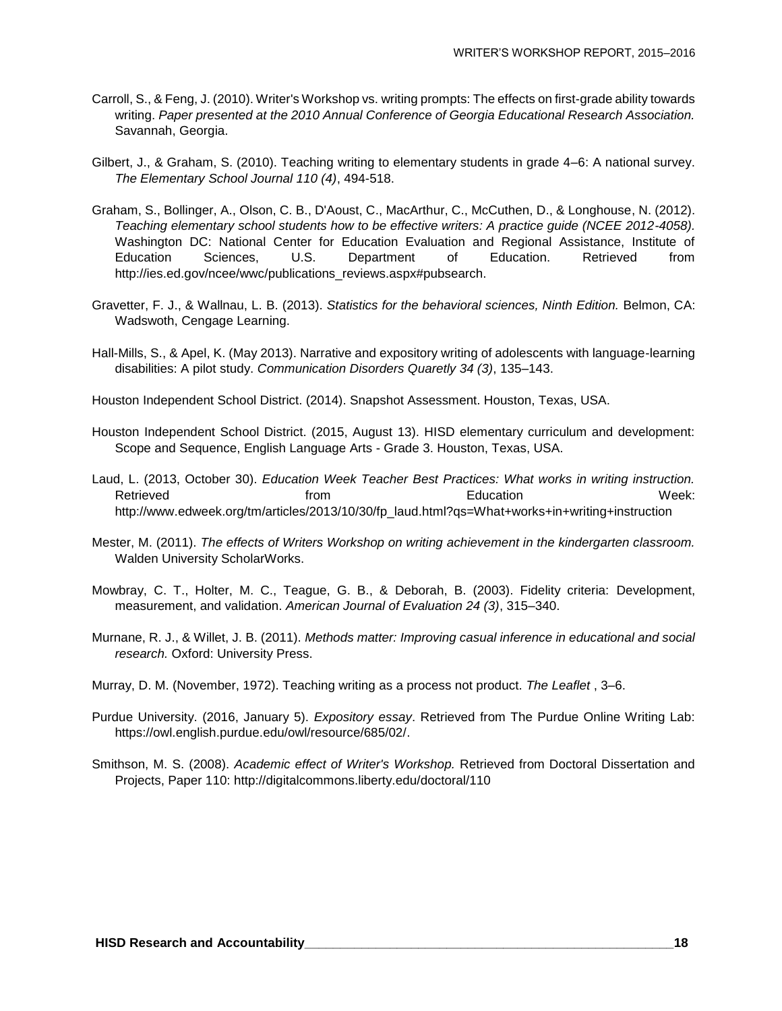- Carroll, S., & Feng, J. (2010). Writer's Workshop vs. writing prompts: The effects on first-grade ability towards writing. *Paper presented at the 2010 Annual Conference of Georgia Educational Research Association.* Savannah, Georgia.
- Gilbert, J., & Graham, S. (2010). Teaching writing to elementary students in grade 4–6: A national survey. *The Elementary School Journal 110 (4)*, 494-518.
- Graham, S., Bollinger, A., Olson, C. B., D'Aoust, C., MacArthur, C., McCuthen, D., & Longhouse, N. (2012). *Teaching elementary school students how to be effective writers: A practice guide (NCEE 2012-4058).* Washington DC: National Center for Education Evaluation and Regional Assistance, Institute of Education Sciences, U.S. Department of Education. Retrieved from http://ies.ed.gov/ncee/wwc/publications\_reviews.aspx#pubsearch.
- Gravetter, F. J., & Wallnau, L. B. (2013). *Statistics for the behavioral sciences, Ninth Edition.* Belmon, CA: Wadswoth, Cengage Learning.
- Hall-Mills, S., & Apel, K. (May 2013). Narrative and expository writing of adolescents with language-learning disabilities: A pilot study. *Communication Disorders Quaretly 34 (3)*, 135–143.
- Houston Independent School District. (2014). Snapshot Assessment. Houston, Texas, USA.
- Houston Independent School District. (2015, August 13). HISD elementary curriculum and development: Scope and Sequence, English Language Arts - Grade 3. Houston, Texas, USA.
- Laud, L. (2013, October 30). *Education Week Teacher Best Practices: What works in writing instruction.* Retrieved **Education Retrieved Retrieved Retrieved Retrieved Retrieved Retrieved Retrieved Retrieved Retrieved Retrieved Retrieved Retrieved Retrieved Retrieved Retrieved Retrieved Retriev** http://www.edweek.org/tm/articles/2013/10/30/fp\_laud.html?qs=What+works+in+writing+instruction
- Mester, M. (2011). *The effects of Writers Workshop on writing achievement in the kindergarten classroom.* Walden University ScholarWorks.
- Mowbray, C. T., Holter, M. C., Teague, G. B., & Deborah, B. (2003). Fidelity criteria: Development, measurement, and validation. *American Journal of Evaluation 24 (3)*, 315–340.
- Murnane, R. J., & Willet, J. B. (2011). *Methods matter: Improving casual inference in educational and social research.* Oxford: University Press.
- Murray, D. M. (November, 1972). Teaching writing as a process not product. *The Leaflet* , 3–6.
- Purdue University. (2016, January 5). *Expository essay*. Retrieved from The Purdue Online Writing Lab: https://owl.english.purdue.edu/owl/resource/685/02/.
- Smithson, M. S. (2008). *Academic effect of Writer's Workshop.* Retrieved from Doctoral Dissertation and Projects, Paper 110: http://digitalcommons.liberty.edu/doctoral/110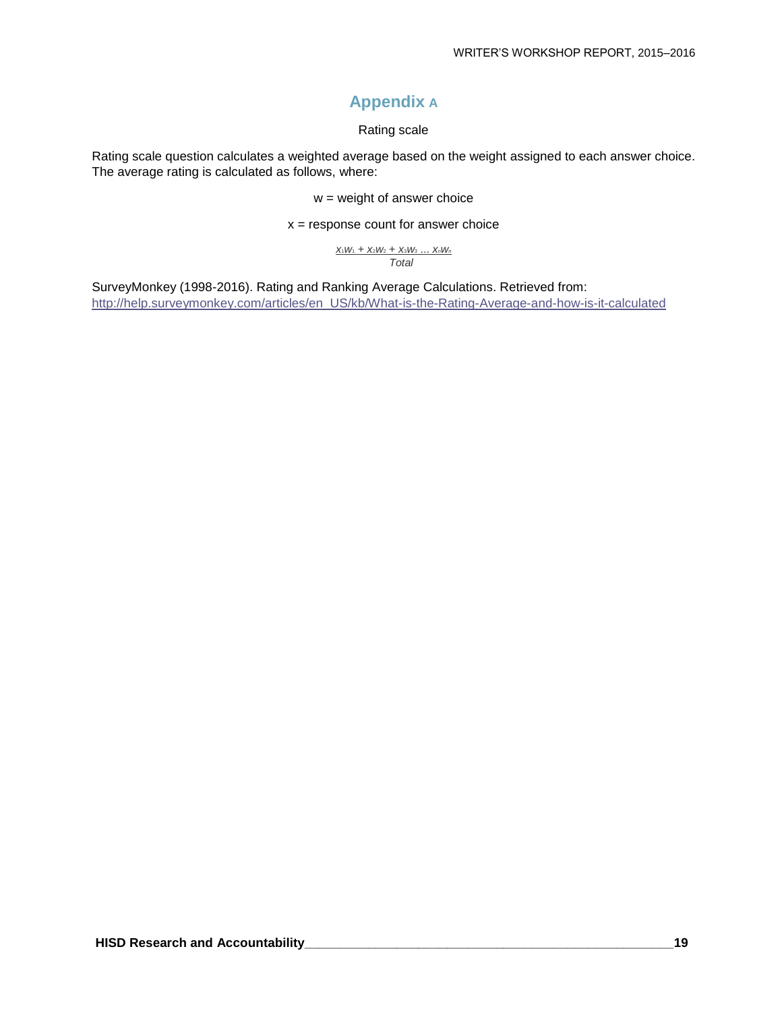## **Appendix A**

#### Rating scale

Rating scale question calculates a weighted average based on the weight assigned to each answer choice. The average rating is calculated as follows, where:

 $w =$  weight of answer choice

 $x =$  response count for answer choice

*x*1*w*<sup>1</sup> + *x*2*w*<sup>2</sup> + *x*3*w*<sup>3</sup> ... *xnw<sup>n</sup> Total*

SurveyMonkey (1998-2016). Rating and Ranking Average Calculations. Retrieved from: [http://help.surveymonkey.com/articles/en\\_US/kb/What-is-the-Rating-Average-and-how-is-it-calculated](http://help.surveymonkey.com/articles/en_US/kb/What-is-the-Rating-Average-and-how-is-it-calculated)